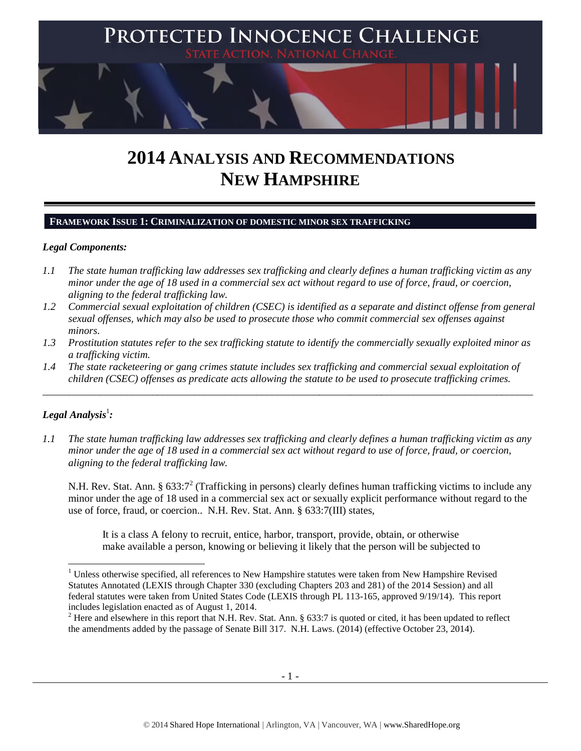

# **2014 ANALYSIS AND RECOMMENDATIONS NEW HAMPSHIRE**

# **FRAMEWORK ISSUE 1: CRIMINALIZATION OF DOMESTIC MINOR SEX TRAFFICKING**

#### *Legal Components:*

- *1.1 The state human trafficking law addresses sex trafficking and clearly defines a human trafficking victim as any minor under the age of 18 used in a commercial sex act without regard to use of force, fraud, or coercion, aligning to the federal trafficking law.*
- *1.2 Commercial sexual exploitation of children (CSEC) is identified as a separate and distinct offense from general sexual offenses, which may also be used to prosecute those who commit commercial sex offenses against minors.*
- *1.3 Prostitution statutes refer to the sex trafficking statute to identify the commercially sexually exploited minor as a trafficking victim.*
- *1.4 The state racketeering or gang crimes statute includes sex trafficking and commercial sexual exploitation of children (CSEC) offenses as predicate acts allowing the statute to be used to prosecute trafficking crimes.*

\_\_\_\_\_\_\_\_\_\_\_\_\_\_\_\_\_\_\_\_\_\_\_\_\_\_\_\_\_\_\_\_\_\_\_\_\_\_\_\_\_\_\_\_\_\_\_\_\_\_\_\_\_\_\_\_\_\_\_\_\_\_\_\_\_\_\_\_\_\_\_\_\_\_\_\_\_\_\_\_\_\_\_\_\_\_\_\_\_\_\_\_\_\_

# $\bm{L}$ egal Analysis $^1$ :

l

*1.1 The state human trafficking law addresses sex trafficking and clearly defines a human trafficking victim as any minor under the age of 18 used in a commercial sex act without regard to use of force, fraud, or coercion, aligning to the federal trafficking law.*

N.H. Rev. Stat. Ann. § 633:7<sup>2</sup> (Trafficking in persons) clearly defines human trafficking victims to include any minor under the age of 18 used in a commercial sex act or sexually explicit performance without regard to the use of force, fraud, or coercion.. N.H. Rev. Stat. Ann. § 633:7(III) states,

<span id="page-0-0"></span>It is a class A felony to recruit, entice, harbor, transport, provide, obtain, or otherwise make available a person, knowing or believing it likely that the person will be subjected to

<sup>&</sup>lt;sup>1</sup> Unless otherwise specified, all references to New Hampshire statutes were taken from New Hampshire Revised Statutes Annotated (LEXIS through Chapter 330 (excluding Chapters 203 and 281) of the 2014 Session) and all federal statutes were taken from United States Code (LEXIS through PL 113-165, approved 9/19/14). This report includes legislation enacted as of August 1, 2014.

<sup>&</sup>lt;sup>2</sup> Here and elsewhere in this report that N.H. Rev. Stat. Ann. § 633:7 is quoted or cited, it has been updated to reflect the amendments added by the passage of Senate Bill 317. N.H. Laws. (2014) (effective October 23, 2014).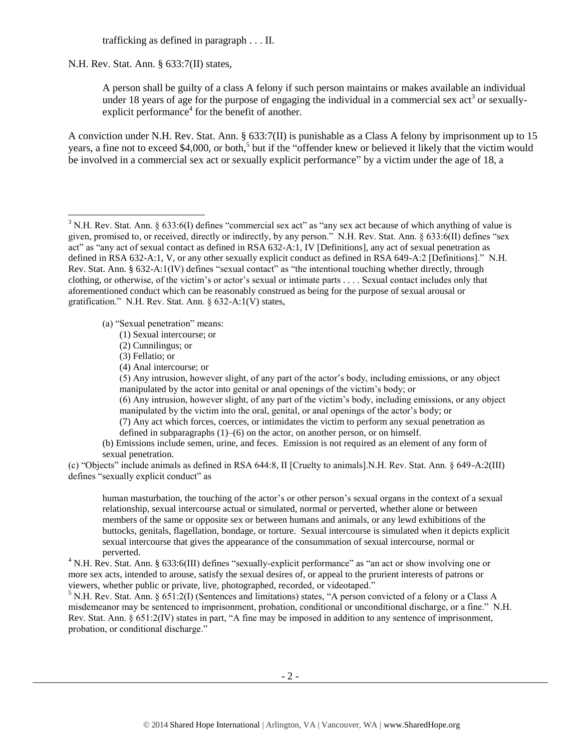trafficking as defined in paragraph . . . II.

N.H. Rev. Stat. Ann. § 633:7(II) states,

<span id="page-1-0"></span>A person shall be guilty of a class A felony if such person maintains or makes available an individual under 18 years of age for the purpose of engaging the individual in a commercial sex  $act<sup>3</sup>$  or sexuallyexplicit performance $4$  for the benefit of another.

A conviction under N.H. Rev. Stat. Ann. § 633:7(II) is punishable as a Class A felony by imprisonment up to 15 years, a fine not to exceed \$4,000, or both,<sup>5</sup> but if the "offender knew or believed it likely that the victim would be involved in a commercial sex act or sexually explicit performance" by a victim under the age of 18, a

(a) "Sexual penetration" means:

- (1) Sexual intercourse; or
- (2) Cunnilingus; or
- (3) Fellatio; or

l

(4) Anal intercourse; or

(5) Any intrusion, however slight, of any part of the actor's body, including emissions, or any object manipulated by the actor into genital or anal openings of the victim's body; or

(6) Any intrusion, however slight, of any part of the victim's body, including emissions, or any object manipulated by the victim into the oral, genital, or anal openings of the actor's body; or

(7) Any act which forces, coerces, or intimidates the victim to perform any sexual penetration as

defined in subparagraphs (1)–(6) on the actor, on another person, or on himself.

(b) Emissions include semen, urine, and feces. Emission is not required as an element of any form of sexual penetration.

(c) "Objects" include animals as defined in RSA 644:8, II [Cruelty to animals].N.H. Rev. Stat. Ann. § 649-A:2(III) defines "sexually explicit conduct" as

human masturbation, the touching of the actor's or other person's sexual organs in the context of a sexual relationship, sexual intercourse actual or simulated, normal or perverted, whether alone or between members of the same or opposite sex or between humans and animals, or any lewd exhibitions of the buttocks, genitals, flagellation, bondage, or torture. Sexual intercourse is simulated when it depicts explicit sexual intercourse that gives the appearance of the consummation of sexual intercourse, normal or perverted.

<sup>4</sup> N.H. Rev. Stat. Ann. § 633:6(III) defines "sexually-explicit performance" as "an act or show involving one or more sex acts, intended to arouse, satisfy the sexual desires of, or appeal to the prurient interests of patrons or viewers, whether public or private, live, photographed, recorded, or videotaped."

<sup>5</sup> N.H. Rev. Stat. Ann. § 651:2(I) (Sentences and limitations) states, "A person convicted of a felony or a Class A misdemeanor may be sentenced to imprisonment, probation, conditional or unconditional discharge, or a fine." N.H. Rev. Stat. Ann. § 651:2(IV) states in part, "A fine may be imposed in addition to any sentence of imprisonment, probation, or conditional discharge."

 $3$  N.H. Rev. Stat. Ann. § 633:6(I) defines "commercial sex act" as "any sex act because of which anything of value is given, promised to, or received, directly or indirectly, by any person." N.H. Rev. Stat. Ann. § 633:6(II) defines "sex act" as "any act of sexual contact as defined in RSA 632-A:1, IV [Definitions], any act of sexual penetration as defined in RSA 632-A:1, V, or any other sexually explicit conduct as defined in RSA 649-A:2 [Definitions]." N.H. Rev. Stat. Ann. § 632-A:1(IV) defines "sexual contact" as "the intentional touching whether directly, through clothing, or otherwise, of the victim's or actor's sexual or intimate parts . . . . Sexual contact includes only that aforementioned conduct which can be reasonably construed as being for the purpose of sexual arousal or gratification." N.H. Rev. Stat. Ann. § 632-A:1(V) states,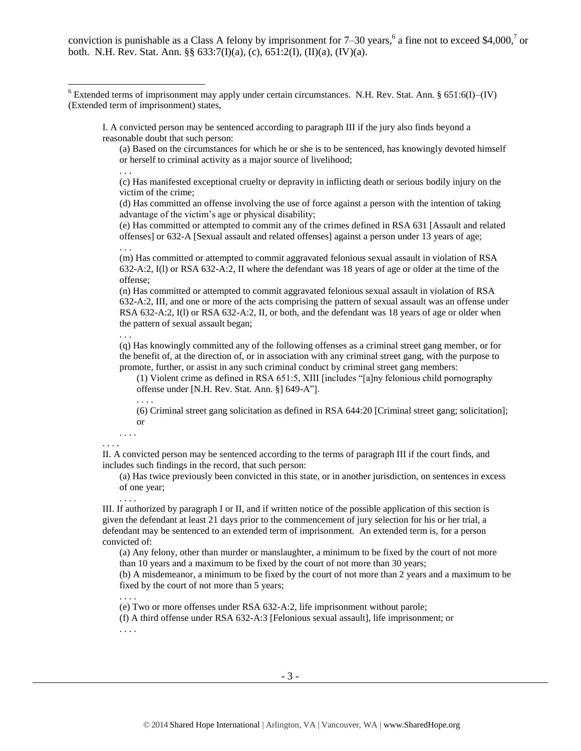conviction is punishable as a Class A felony by imprisonment for 7–30 years,  $6$  a fine not to exceed \$4,000,<sup>7</sup> or both. N.H. Rev. Stat. Ann. §§ 633:7(I)(a), (c), 651:2(I), (II)(a), (IV)(a).

I. A convicted person may be sentenced according to paragraph III if the jury also finds beyond a reasonable doubt that such person:

<span id="page-2-2"></span><span id="page-2-1"></span><span id="page-2-0"></span>(a) Based on the circumstances for which he or she is to be sentenced, has knowingly devoted himself or herself to criminal activity as a major source of livelihood;

. . .

. . .

. . .

. . . .

 $\overline{a}$ 

(c) Has manifested exceptional cruelty or depravity in inflicting death or serious bodily injury on the victim of the crime;

(d) Has committed an offense involving the use of force against a person with the intention of taking advantage of the victim's age or physical disability;

(e) Has committed or attempted to commit any of the crimes defined in RSA 631 [Assault and related offenses] or 632-A [Sexual assault and related offenses] against a person under 13 years of age;

(m) Has committed or attempted to commit aggravated felonious sexual assault in violation of RSA 632-A:2, I(l) or RSA 632-A:2, II where the defendant was 18 years of age or older at the time of the offense;

(n) Has committed or attempted to commit aggravated felonious sexual assault in violation of RSA 632-A:2, III, and one or more of the acts comprising the pattern of sexual assault was an offense under RSA 632-A:2, I(l) or RSA 632-A:2, II, or both, and the defendant was 18 years of age or older when the pattern of sexual assault began;

(q) Has knowingly committed any of the following offenses as a criminal street gang member, or for the benefit of, at the direction of, or in association with any criminal street gang, with the purpose to promote, further, or assist in any such criminal conduct by criminal street gang members:

(1) Violent crime as defined in RSA 651:5, XIII [includes "[a]ny felonious child pornography offense under [N.H. Rev. Stat. Ann. §] 649-A"].

(6) Criminal street gang solicitation as defined in RSA 644:20 [Criminal street gang; solicitation]; or

#### . . . . . . . .

II. A convicted person may be sentenced according to the terms of paragraph III if the court finds, and includes such findings in the record, that such person:

(a) Has twice previously been convicted in this state, or in another jurisdiction, on sentences in excess of one year;

III. If authorized by paragraph I or II, and if written notice of the possible application of this section is given the defendant at least 21 days prior to the commencement of jury selection for his or her trial, a defendant may be sentenced to an extended term of imprisonment. An extended term is, for a person convicted of:

(a) Any felony, other than murder or manslaughter, a minimum to be fixed by the court of not more than 10 years and a maximum to be fixed by the court of not more than 30 years;

(b) A misdemeanor, a minimum to be fixed by the court of not more than 2 years and a maximum to be fixed by the court of not more than 5 years;

. . . .

(e) Two or more offenses under RSA 632-A:2, life imprisonment without parole;

(f) A third offense under RSA 632-A:3 [Felonious sexual assault], life imprisonment; or

. . . .

 $6$  Extended terms of imprisonment may apply under certain circumstances. N.H. Rev. Stat. Ann. § 651:6(I)–(IV) (Extended term of imprisonment) states,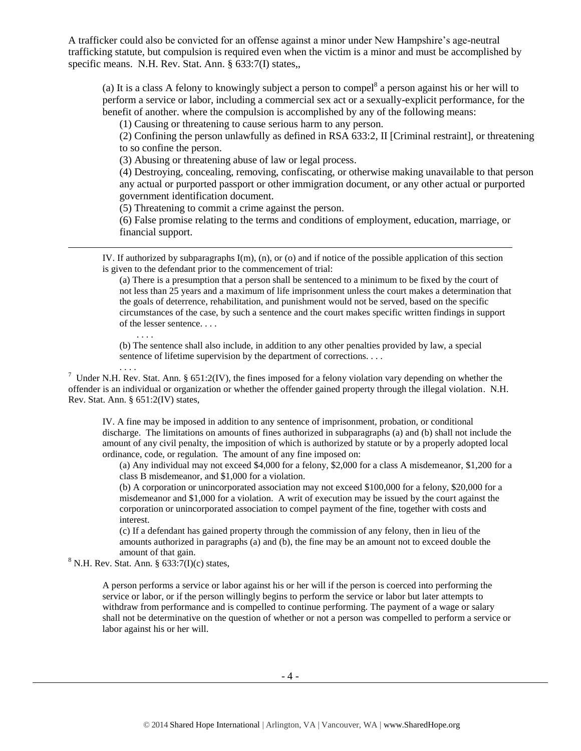A trafficker could also be convicted for an offense against a minor under New Hampshire's age-neutral trafficking statute, but compulsion is required even when the victim is a minor and must be accomplished by specific means. N.H. Rev. Stat. Ann. § 633:7(I) states,

(a) It is a class A felony to knowingly subject a person to compel $^8$  a person against his or her will to perform a service or labor, including a commercial sex act or a sexually-explicit performance, for the benefit of another. where the compulsion is accomplished by any of the following means:

(1) Causing or threatening to cause serious harm to any person.

(2) Confining the person unlawfully as defined in RSA 633:2, II [Criminal restraint], or threatening to so confine the person.

(3) Abusing or threatening abuse of law or legal process.

(4) Destroying, concealing, removing, confiscating, or otherwise making unavailable to that person any actual or purported passport or other immigration document, or any other actual or purported government identification document.

(5) Threatening to commit a crime against the person.

(6) False promise relating to the terms and conditions of employment, education, marriage, or financial support.

IV. If authorized by subparagraphs I(m), (n), or (o) and if notice of the possible application of this section is given to the defendant prior to the commencement of trial:

(a) There is a presumption that a person shall be sentenced to a minimum to be fixed by the court of not less than 25 years and a maximum of life imprisonment unless the court makes a determination that the goals of deterrence, rehabilitation, and punishment would not be served, based on the specific circumstances of the case, by such a sentence and the court makes specific written findings in support of the lesser sentence. . . .

(b) The sentence shall also include, in addition to any other penalties provided by law, a special sentence of lifetime supervision by the department of corrections. . . .

<sup>7</sup> Under N.H. Rev. Stat. Ann. § 651:2(IV), the fines imposed for a felony violation vary depending on whether the offender is an individual or organization or whether the offender gained property through the illegal violation. N.H. Rev. Stat. Ann. § 651:2(IV) states,

IV. A fine may be imposed in addition to any sentence of imprisonment, probation, or conditional discharge. The limitations on amounts of fines authorized in subparagraphs (a) and (b) shall not include the amount of any civil penalty, the imposition of which is authorized by statute or by a properly adopted local ordinance, code, or regulation. The amount of any fine imposed on:

(a) Any individual may not exceed \$4,000 for a felony, \$2,000 for a class A misdemeanor, \$1,200 for a class B misdemeanor, and \$1,000 for a violation.

(b) A corporation or unincorporated association may not exceed \$100,000 for a felony, \$20,000 for a misdemeanor and \$1,000 for a violation. A writ of execution may be issued by the court against the corporation or unincorporated association to compel payment of the fine, together with costs and interest.

(c) If a defendant has gained property through the commission of any felony, then in lieu of the amounts authorized in paragraphs (a) and (b), the fine may be an amount not to exceed double the amount of that gain.

 $8$  N.H. Rev. Stat. Ann. § 633:7(I)(c) states,

. . . .

. . . .

 $\overline{a}$ 

A person performs a service or labor against his or her will if the person is coerced into performing the service or labor, or if the person willingly begins to perform the service or labor but later attempts to withdraw from performance and is compelled to continue performing. The payment of a wage or salary shall not be determinative on the question of whether or not a person was compelled to perform a service or labor against his or her will.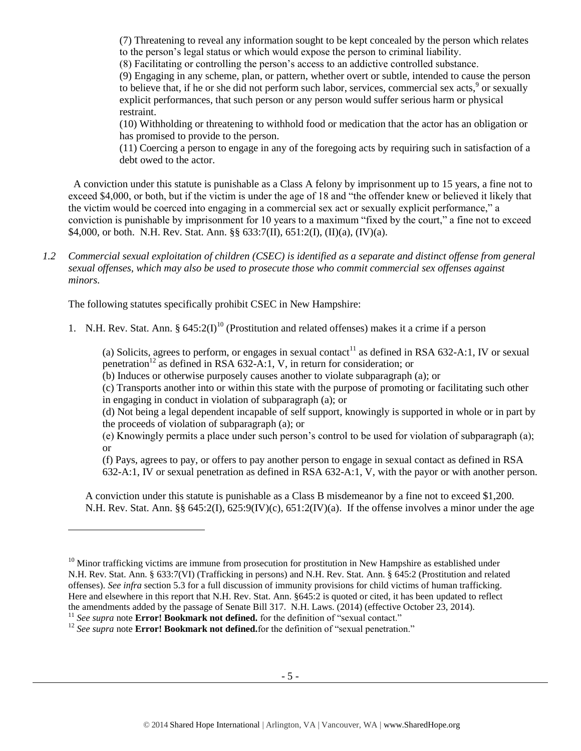(7) Threatening to reveal any information sought to be kept concealed by the person which relates to the person's legal status or which would expose the person to criminal liability.

(8) Facilitating or controlling the person's access to an addictive controlled substance.

(9) Engaging in any scheme, plan, or pattern, whether overt or subtle, intended to cause the person to believe that, if he or she did not perform such labor, services, commercial sex acts,<sup>9</sup> or sexually explicit performances, that such person or any person would suffer serious harm or physical restraint.

(10) Withholding or threatening to withhold food or medication that the actor has an obligation or has promised to provide to the person.

(11) Coercing a person to engage in any of the foregoing acts by requiring such in satisfaction of a debt owed to the actor.

 A conviction under this statute is punishable as a Class A felony by imprisonment up to 15 years, a fine not to exceed \$4,000, or both, but if the victim is under the age of 18 and "the offender knew or believed it likely that the victim would be coerced into engaging in a commercial sex act or sexually explicit performance," a conviction is punishable by imprisonment for 10 years to a maximum "fixed by the court," a fine not to exceed \$4,000, or both. N.H. Rev. Stat. Ann. §§ 633:7(II), 651:2(I), (II)(a), (IV)(a).

*1.2 Commercial sexual exploitation of children (CSEC) is identified as a separate and distinct offense from general sexual offenses, which may also be used to prosecute those who commit commercial sex offenses against minors.*

The following statutes specifically prohibit CSEC in New Hampshire:

1. N.H. Rev. Stat. Ann. §  $645:2(I)^{10}$  (Prostitution and related offenses) makes it a crime if a person

<span id="page-4-0"></span>(a) Solicits, agrees to perform, or engages in sexual contact<sup>11</sup> as defined in RSA 632-A:1, IV or sexual penetration<sup>12</sup> as defined in RSA 632-A:1, V, in return for consideration; or

(b) Induces or otherwise purposely causes another to violate subparagraph (a); or

(c) Transports another into or within this state with the purpose of promoting or facilitating such other in engaging in conduct in violation of subparagraph (a); or

(d) Not being a legal dependent incapable of self support, knowingly is supported in whole or in part by the proceeds of violation of subparagraph (a); or

(e) Knowingly permits a place under such person's control to be used for violation of subparagraph (a); or

(f) Pays, agrees to pay, or offers to pay another person to engage in sexual contact as defined in RSA 632-A:1, IV or sexual penetration as defined in RSA 632-A:1, V, with the payor or with another person.

A conviction under this statute is punishable as a Class B misdemeanor by a fine not to exceed \$1,200. N.H. Rev. Stat. Ann. §§  $645:2(I)$ ,  $625:9(IV)(c)$ ,  $651:2(IV)(a)$ . If the offense involves a minor under the age

l

 $10$  Minor trafficking victims are immune from prosecution for prostitution in New Hampshire as established under N.H. Rev. Stat. Ann. § 633:7(VI) (Trafficking in persons) and N.H. Rev. Stat. Ann. § 645:2 (Prostitution and related offenses). *See infra* section 5.3 for a full discussion of immunity provisions for child victims of human trafficking. Here and elsewhere in this report that N.H. Rev. Stat. Ann. §645:2 is quoted or cited, it has been updated to reflect the amendments added by the passage of Senate Bill 317. N.H. Laws. (2014) (effective October 23, 2014). <sup>11</sup> See supra note **Error! Bookmark not defined.** for the definition of "sexual contact."

<sup>&</sup>lt;sup>12</sup> See supra note **Error! Bookmark not defined.**for the definition of "sexual penetration."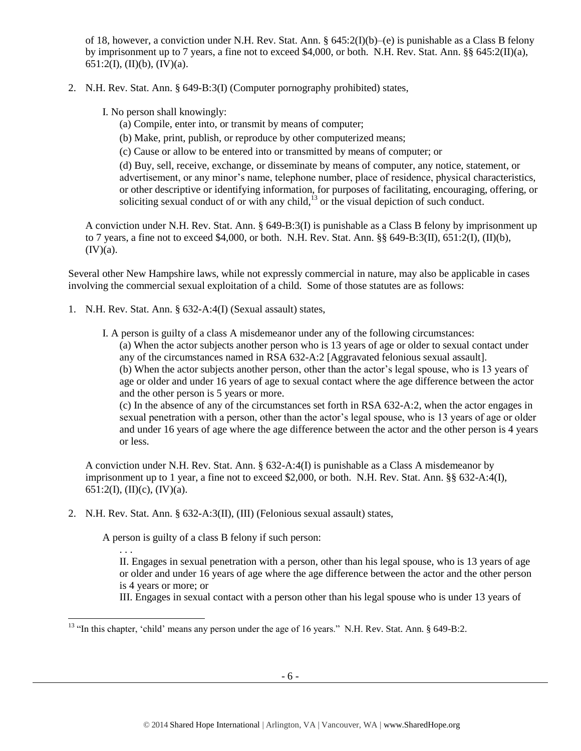of 18, however, a conviction under N.H. Rev. Stat. Ann. § 645:2(I)(b)–(e) is punishable as a Class B felony by imprisonment up to 7 years, a fine not to exceed \$4,000, or both. N.H. Rev. Stat. Ann. §§ 645:2(II)(a), 651:2(I), (II)(b), (IV)(a).

2. N.H. Rev. Stat. Ann. § 649-B:3(I) (Computer pornography prohibited) states,

I. No person shall knowingly:

- (a) Compile, enter into, or transmit by means of computer;
- (b) Make, print, publish, or reproduce by other computerized means;
- (c) Cause or allow to be entered into or transmitted by means of computer; or

<span id="page-5-0"></span>(d) Buy, sell, receive, exchange, or disseminate by means of computer, any notice, statement, or advertisement, or any minor's name, telephone number, place of residence, physical characteristics, or other descriptive or identifying information, for purposes of facilitating, encouraging, offering, or soliciting sexual conduct of or with any child, $\frac{13}{12}$  or the visual depiction of such conduct.

A conviction under N.H. Rev. Stat. Ann. § 649-B:3(I) is punishable as a Class B felony by imprisonment up to 7 years, a fine not to exceed \$4,000, or both. N.H. Rev. Stat. Ann.  $\S$ § 649-B:3(II), 651:2(I), (II)(b),  $(IV)(a)$ .

Several other New Hampshire laws, while not expressly commercial in nature, may also be applicable in cases involving the commercial sexual exploitation of a child. Some of those statutes are as follows:

1. N.H. Rev. Stat. Ann. § 632-A:4(I) (Sexual assault) states,

I. A person is guilty of a class A misdemeanor under any of the following circumstances:

(a) When the actor subjects another person who is 13 years of age or older to sexual contact under any of the circumstances named in RSA 632-A:2 [Aggravated felonious sexual assault].

(b) When the actor subjects another person, other than the actor's legal spouse, who is 13 years of age or older and under 16 years of age to sexual contact where the age difference between the actor and the other person is 5 years or more.

(c) In the absence of any of the circumstances set forth in RSA 632-A:2, when the actor engages in sexual penetration with a person, other than the actor's legal spouse, who is 13 years of age or older and under 16 years of age where the age difference between the actor and the other person is 4 years or less.

A conviction under N.H. Rev. Stat. Ann. § 632-A:4(I) is punishable as a Class A misdemeanor by imprisonment up to 1 year, a fine not to exceed \$2,000, or both. N.H. Rev. Stat. Ann. §§ 632-A:4(I), 651:2(I), (II)(c), (IV)(a).

2. N.H. Rev. Stat. Ann. § 632-A:3(II), (III) (Felonious sexual assault) states,

A person is guilty of a class B felony if such person:

l

. . . II. Engages in sexual penetration with a person, other than his legal spouse, who is 13 years of age or older and under 16 years of age where the age difference between the actor and the other person is 4 years or more; or

III. Engages in sexual contact with a person other than his legal spouse who is under 13 years of

<sup>&</sup>lt;sup>13</sup> "In this chapter, 'child' means any person under the age of 16 years." N.H. Rev. Stat. Ann. § 649-B:2.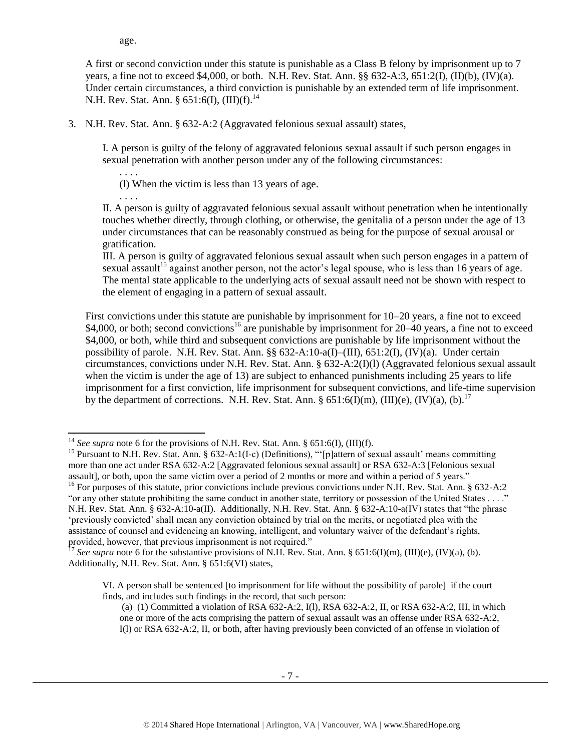age.

A first or second conviction under this statute is punishable as a Class B felony by imprisonment up to 7 years, a fine not to exceed \$4,000, or both. N.H. Rev. Stat. Ann.  $\S$ § 632-A:3, 651:2(I), (II)(b), (IV)(a). Under certain circumstances, a third conviction is punishable by an extended term of life imprisonment. N.H. Rev. Stat. Ann. § 651:6(I), (III)(f).<sup>14</sup>

3. N.H. Rev. Stat. Ann. § 632-A:2 (Aggravated felonious sexual assault) states,

I. A person is guilty of the felony of aggravated felonious sexual assault if such person engages in sexual penetration with another person under any of the following circumstances:

(l) When the victim is less than 13 years of age.

. . . .

l

. . . .

II. A person is guilty of aggravated felonious sexual assault without penetration when he intentionally touches whether directly, through clothing, or otherwise, the genitalia of a person under the age of 13 under circumstances that can be reasonably construed as being for the purpose of sexual arousal or gratification.

III. A person is guilty of aggravated felonious sexual assault when such person engages in a pattern of sexual assault<sup>15</sup> against another person, not the actor's legal spouse, who is less than 16 years of age. The mental state applicable to the underlying acts of sexual assault need not be shown with respect to the element of engaging in a pattern of sexual assault.

First convictions under this statute are punishable by imprisonment for 10–20 years, a fine not to exceed \$4,000, or both; second convictions<sup>16</sup> are punishable by imprisonment for 20–40 years, a fine not to exceed \$4,000, or both, while third and subsequent convictions are punishable by life imprisonment without the possibility of parole. N.H. Rev. Stat. Ann. §§ 632-A:10-a(I)–(III), 651:2(I), (IV)(a). Under certain circumstances, convictions under N.H. Rev. Stat. Ann. § 632-A:2(I)(l) (Aggravated felonious sexual assault when the victim is under the age of 13) are subject to enhanced punishments including 25 years to life imprisonment for a first conviction, life imprisonment for subsequent convictions, and life-time supervision by the department of corrections. N.H. Rev. Stat. Ann. § 651:6(I)(m), (III)(e), (IV)(a), (b).<sup>17</sup>

<sup>16</sup> For purposes of this statute, prior convictions include previous convictions under N.H. Rev. Stat. Ann. § 632-A:2 "or any other statute prohibiting the same conduct in another state, territory or possession of the United States . . . ." N.H. Rev. Stat. Ann. § 632-A:10-a(II). Additionally, N.H. Rev. Stat. Ann. § 632-A:10-a(IV) states that "the phrase 'previously convicted' shall mean any conviction obtained by trial on the merits, or negotiated plea with the assistance of counsel and evidencing an knowing, intelligent, and voluntary waiver of the defendant's rights, provided, however, that previous imprisonment is not required."

<sup>&</sup>lt;sup>14</sup> *See supra* note [6](#page-2-0) for the provisions of N.H. Rev. Stat. Ann. § 651:6(I), (III)(f).

<sup>&</sup>lt;sup>15</sup> Pursuant to N.H. Rev. Stat. Ann. § 632-A:1(I-c) (Definitions), "'[p]attern of sexual assault' means committing more than one act under RSA 632-A:2 [Aggravated felonious sexual assault] or RSA 632-A:3 [Felonious sexual assault], or both, upon the same victim over a period of 2 months or more and within a period of 5 years."

<sup>&</sup>lt;sup>17</sup> *See supra* note [6](#page-2-1) for the substantive provisions of N.H. Rev. Stat. Ann. § 651:6(I)(m), (III)(e), (IV)(a), (b). Additionally, N.H. Rev. Stat. Ann. § 651:6(VI) states,

VI. A person shall be sentenced [to imprisonment for life without the possibility of parole] if the court finds, and includes such findings in the record, that such person:

<sup>(</sup>a) (1) Committed a violation of RSA 632-A:2, I(l), RSA 632-A:2, II, or RSA 632-A:2, III, in which one or more of the acts comprising the pattern of sexual assault was an offense under RSA 632-A:2, I(l) or RSA 632-A:2, II, or both, after having previously been convicted of an offense in violation of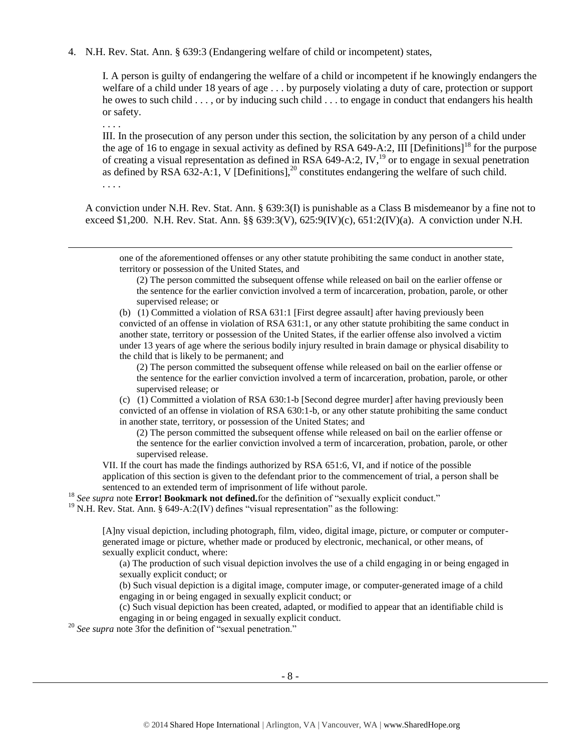4. N.H. Rev. Stat. Ann. § 639:3 (Endangering welfare of child or incompetent) states,

I. A person is guilty of endangering the welfare of a child or incompetent if he knowingly endangers the welfare of a child under 18 years of age . . . by purposely violating a duty of care, protection or support he owes to such child . . . , or by inducing such child . . . to engage in conduct that endangers his health or safety.

. . . .

. . . .

 $\overline{a}$ 

III. In the prosecution of any person under this section, the solicitation by any person of a child under the age of 16 to engage in sexual activity as defined by RSA 649-A:2, III [Definitions]<sup>18</sup> for the purpose of creating a visual representation as defined in RSA 649-A:2, IV,<sup>19</sup> or to engage in sexual penetration as defined by RSA  $632-A:1$ , V [Definitions],<sup>20</sup> constitutes endangering the welfare of such child.

A conviction under N.H. Rev. Stat. Ann. § 639:3(I) is punishable as a Class B misdemeanor by a fine not to exceed \$1,200. N.H. Rev. Stat. Ann. §§ 639:3(V), 625:9(IV)(c), 651:2(IV)(a). A conviction under N.H.

one of the aforementioned offenses or any other statute prohibiting the same conduct in another state, territory or possession of the United States, and

(2) The person committed the subsequent offense while released on bail on the earlier offense or the sentence for the earlier conviction involved a term of incarceration, probation, parole, or other supervised release; or

(b) (1) Committed a violation of RSA 631:1 [First degree assault] after having previously been convicted of an offense in violation of RSA 631:1, or any other statute prohibiting the same conduct in another state, territory or possession of the United States, if the earlier offense also involved a victim under 13 years of age where the serious bodily injury resulted in brain damage or physical disability to the child that is likely to be permanent; and

(2) The person committed the subsequent offense while released on bail on the earlier offense or the sentence for the earlier conviction involved a term of incarceration, probation, parole, or other supervised release; or

(c) (1) Committed a violation of RSA 630:1-b [Second degree murder] after having previously been convicted of an offense in violation of RSA 630:1-b, or any other statute prohibiting the same conduct in another state, territory, or possession of the United States; and

(2) The person committed the subsequent offense while released on bail on the earlier offense or the sentence for the earlier conviction involved a term of incarceration, probation, parole, or other supervised release.

VII. If the court has made the findings authorized by RSA 651:6, VI, and if notice of the possible application of this section is given to the defendant prior to the commencement of trial, a person shall be sentenced to an extended term of imprisonment of life without parole.

<sup>18</sup> See supra note **Error! Bookmark not defined.** for the definition of "sexually explicit conduct."

<sup>19</sup> N.H. Rev. Stat. Ann. § 649-A:2(IV) defines "visual representation" as the following:

[A]ny visual depiction, including photograph, film, video, digital image, picture, or computer or computergenerated image or picture, whether made or produced by electronic, mechanical, or other means, of sexually explicit conduct, where:

(a) The production of such visual depiction involves the use of a child engaging in or being engaged in sexually explicit conduct; or

(b) Such visual depiction is a digital image, computer image, or computer-generated image of a child engaging in or being engaged in sexually explicit conduct; or

(c) Such visual depiction has been created, adapted, or modified to appear that an identifiable child is engaging in or being engaged in sexually explicit conduct.

<sup>20</sup> See supra note 3 for the definition of "sexual penetration."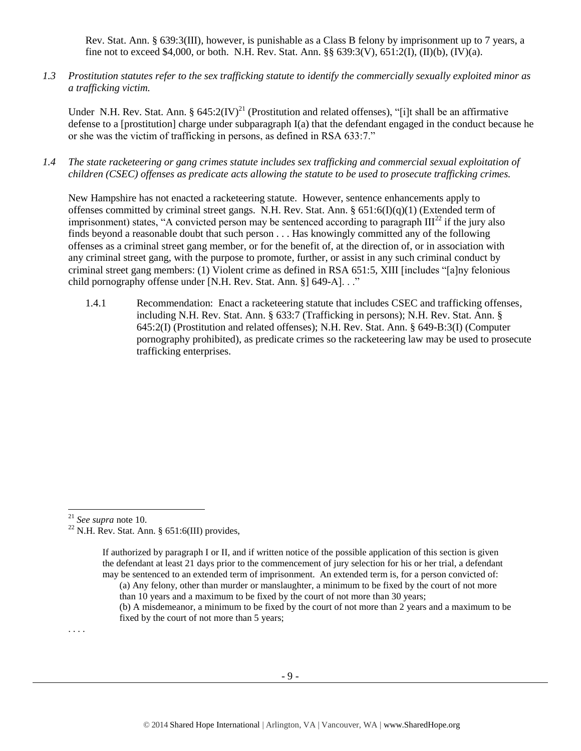Rev. Stat. Ann. § 639:3(III), however, is punishable as a Class B felony by imprisonment up to 7 years, a fine not to exceed \$4,000, or both. N.H. Rev. Stat. Ann.  $\S$ § 639:3(V), 651:2(I), (II)(b), (IV)(a).

*1.3 Prostitution statutes refer to the sex trafficking statute to identify the commercially sexually exploited minor as a trafficking victim.* 

Under N.H. Rev. Stat. Ann. §  $645:2(IV)^{21}$  (Prostitution and related offenses), "[i]t shall be an affirmative defense to a [prostitution] charge under subparagraph  $I(a)$  that the defendant engaged in the conduct because he or she was the victim of trafficking in persons, as defined in RSA 633:7."

*1.4 The state racketeering or gang crimes statute includes sex trafficking and commercial sexual exploitation of children (CSEC) offenses as predicate acts allowing the statute to be used to prosecute trafficking crimes.* 

New Hampshire has not enacted a racketeering statute. However, sentence enhancements apply to offenses committed by criminal street gangs. N.H. Rev. Stat. Ann. §  $651:6(I)(q)(1)$  (Extended term of imprisonment) states, "A convicted person may be sentenced according to paragraph  $III<sup>22</sup>$  if the jury also finds beyond a reasonable doubt that such person . . . Has knowingly committed any of the following offenses as a criminal street gang member, or for the benefit of, at the direction of, or in association with any criminal street gang, with the purpose to promote, further, or assist in any such criminal conduct by criminal street gang members: (1) Violent crime as defined in RSA 651:5, XIII [includes "[a]ny felonious child pornography offense under [N.H. Rev. Stat. Ann. §] 649-A]. . ."

1.4.1 Recommendation: Enact a racketeering statute that includes CSEC and trafficking offenses, including N.H. Rev. Stat. Ann. § 633:7 (Trafficking in persons); N.H. Rev. Stat. Ann. § 645:2(I) (Prostitution and related offenses); N.H. Rev. Stat. Ann. § 649-B:3(I) (Computer pornography prohibited), as predicate crimes so the racketeering law may be used to prosecute trafficking enterprises.

. . . .

 $\overline{a}$ 

<sup>21</sup> *See supra* note [10.](#page-4-0)

<sup>&</sup>lt;sup>22</sup> N.H. Rev. Stat. Ann. § 651:6(III) provides,

If authorized by paragraph I or II, and if written notice of the possible application of this section is given the defendant at least 21 days prior to the commencement of jury selection for his or her trial, a defendant may be sentenced to an extended term of imprisonment. An extended term is, for a person convicted of:

<sup>(</sup>a) Any felony, other than murder or manslaughter, a minimum to be fixed by the court of not more than 10 years and a maximum to be fixed by the court of not more than 30 years;

<sup>(</sup>b) A misdemeanor, a minimum to be fixed by the court of not more than 2 years and a maximum to be fixed by the court of not more than 5 years;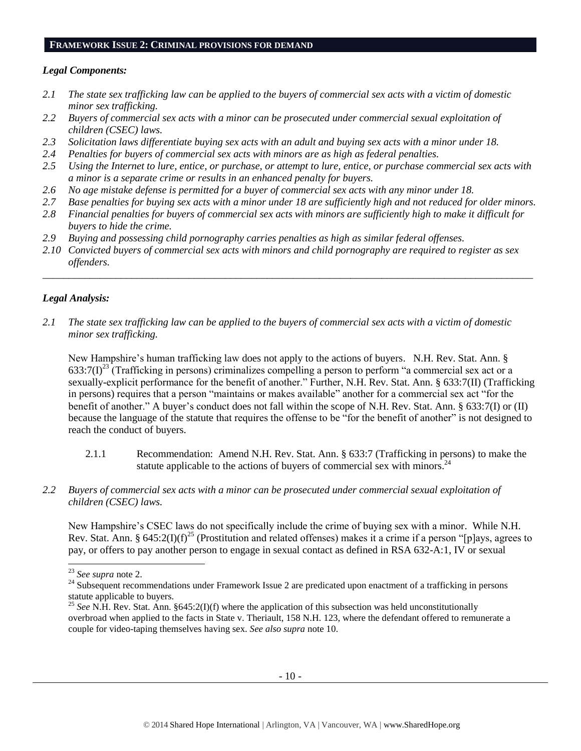#### **FRAMEWORK ISSUE 2: CRIMINAL PROVISIONS FOR DEMAND**

## *Legal Components:*

- *2.1 The state sex trafficking law can be applied to the buyers of commercial sex acts with a victim of domestic minor sex trafficking.*
- *2.2 Buyers of commercial sex acts with a minor can be prosecuted under commercial sexual exploitation of children (CSEC) laws.*
- *2.3 Solicitation laws differentiate buying sex acts with an adult and buying sex acts with a minor under 18.*
- *2.4 Penalties for buyers of commercial sex acts with minors are as high as federal penalties.*
- *2.5 Using the Internet to lure, entice, or purchase, or attempt to lure, entice, or purchase commercial sex acts with a minor is a separate crime or results in an enhanced penalty for buyers.*
- *2.6 No age mistake defense is permitted for a buyer of commercial sex acts with any minor under 18.*
- *2.7 Base penalties for buying sex acts with a minor under 18 are sufficiently high and not reduced for older minors.*
- *2.8 Financial penalties for buyers of commercial sex acts with minors are sufficiently high to make it difficult for buyers to hide the crime.*
- *2.9 Buying and possessing child pornography carries penalties as high as similar federal offenses.*
- *2.10 Convicted buyers of commercial sex acts with minors and child pornography are required to register as sex offenders.*

\_\_\_\_\_\_\_\_\_\_\_\_\_\_\_\_\_\_\_\_\_\_\_\_\_\_\_\_\_\_\_\_\_\_\_\_\_\_\_\_\_\_\_\_\_\_\_\_\_\_\_\_\_\_\_\_\_\_\_\_\_\_\_\_\_\_\_\_\_\_\_\_\_\_\_\_\_\_\_\_\_\_\_\_\_\_\_\_\_\_\_\_\_\_

# *Legal Analysis:*

*2.1 The state sex trafficking law can be applied to the buyers of commercial sex acts with a victim of domestic minor sex trafficking.*

New Hampshire's human trafficking law does not apply to the actions of buyers. N.H. Rev. Stat. Ann. §  $633:7(I)^{23}$  (Trafficking in persons) criminalizes compelling a person to perform "a commercial sex act or a sexually-explicit performance for the benefit of another." Further, N.H. Rev. Stat. Ann. § 633:7(II) (Trafficking in persons) requires that a person "maintains or makes available" another for a commercial sex act "for the benefit of another." A buyer's conduct does not fall within the scope of N.H. Rev. Stat. Ann. § 633:7(I) or (II) because the language of the statute that requires the offense to be "for the benefit of another" is not designed to reach the conduct of buyers.

- 2.1.1 Recommendation: Amend N.H. Rev. Stat. Ann. § 633:7 (Trafficking in persons) to make the statute applicable to the actions of buyers of commercial sex with minors.<sup>24</sup>
- *2.2 Buyers of commercial sex acts with a minor can be prosecuted under commercial sexual exploitation of children (CSEC) laws.*

New Hampshire's CSEC laws do not specifically include the crime of buying sex with a minor. While N.H. Rev. Stat. Ann. § 645:2(I)(f)<sup>25</sup> (Prostitution and related offenses) makes it a crime if a person "[p]ays, agrees to pay, or offers to pay another person to engage in sexual contact as defined in RSA 632-A:1, IV or sexual

l

<sup>23</sup> *See supra* note [2.](#page-0-0)

<sup>&</sup>lt;sup>24</sup> Subsequent recommendations under Framework Issue 2 are predicated upon enactment of a trafficking in persons statute applicable to buyers.

<sup>&</sup>lt;sup>25</sup> *See* N.H. Rev. Stat. Ann.  $§645:2(I)(f)$  where the application of this subsection was held unconstitutionally overbroad when applied to the facts in State v. Theriault, 158 N.H. 123, where the defendant offered to remunerate a couple for video-taping themselves having sex. *See also supra* note [10.](#page-4-0)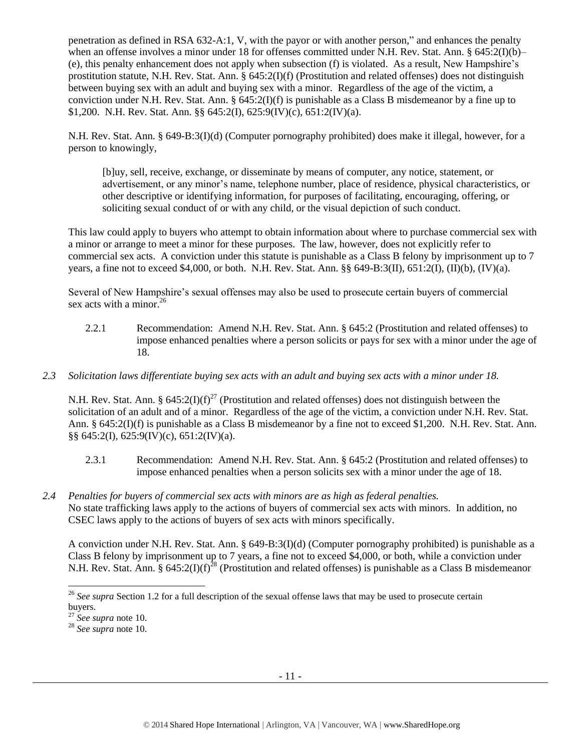penetration as defined in RSA 632-A:1, V, with the payor or with another person," and enhances the penalty when an offense involves a minor under 18 for offenses committed under N.H. Rev. Stat. Ann. § 645:2(I)(b)– (e), this penalty enhancement does not apply when subsection (f) is violated. As a result, New Hampshire's prostitution statute, N.H. Rev. Stat. Ann. § 645:2(I)(f) (Prostitution and related offenses) does not distinguish between buying sex with an adult and buying sex with a minor. Regardless of the age of the victim, a conviction under N.H. Rev. Stat. Ann. § 645:2(I)(f) is punishable as a Class B misdemeanor by a fine up to \$1,200. N.H. Rev. Stat. Ann. §§ 645:2(I), 625:9(IV)(c), 651:2(IV)(a).

N.H. Rev. Stat. Ann. § 649-B:3(I)(d) (Computer pornography prohibited) does make it illegal, however, for a person to knowingly,

[b]uy, sell, receive, exchange, or disseminate by means of computer, any notice, statement, or advertisement, or any minor's name, telephone number, place of residence, physical characteristics, or other descriptive or identifying information, for purposes of facilitating, encouraging, offering, or soliciting sexual conduct of or with any child, or the visual depiction of such conduct.

This law could apply to buyers who attempt to obtain information about where to purchase commercial sex with a minor or arrange to meet a minor for these purposes. The law, however, does not explicitly refer to commercial sex acts. A conviction under this statute is punishable as a Class B felony by imprisonment up to 7 years, a fine not to exceed \$4,000, or both. N.H. Rev. Stat. Ann. §§ 649-B:3(II), 651:2(I), (II)(b), (IV)(a).

Several of New Hampshire's sexual offenses may also be used to prosecute certain buyers of commercial sex acts with a minor. $^{26}$ 

- 2.2.1 Recommendation: Amend N.H. Rev. Stat. Ann. § 645:2 (Prostitution and related offenses) to impose enhanced penalties where a person solicits or pays for sex with a minor under the age of 18.
- *2.3 Solicitation laws differentiate buying sex acts with an adult and buying sex acts with a minor under 18.*

N.H. Rev. Stat. Ann. §  $645:2(I)(f)^{27}$  (Prostitution and related offenses) does not distinguish between the solicitation of an adult and of a minor. Regardless of the age of the victim, a conviction under N.H. Rev. Stat. Ann. § 645:2(I)(f) is punishable as a Class B misdemeanor by a fine not to exceed \$1,200. N.H. Rev. Stat. Ann. §§ 645:2(I), 625:9(IV)(c), 651:2(IV)(a).

- 2.3.1 Recommendation: Amend N.H. Rev. Stat. Ann. § 645:2 (Prostitution and related offenses) to impose enhanced penalties when a person solicits sex with a minor under the age of 18.
- *2.4 Penalties for buyers of commercial sex acts with minors are as high as federal penalties.* No state trafficking laws apply to the actions of buyers of commercial sex acts with minors. In addition, no CSEC laws apply to the actions of buyers of sex acts with minors specifically.

A conviction under N.H. Rev. Stat. Ann. § 649-B:3(I)(d) (Computer pornography prohibited) is punishable as a Class B felony by imprisonment up to 7 years, a fine not to exceed \$4,000, or both, while a conviction under N.H. Rev. Stat. Ann. §  $645:2(I)(f)^{28}$  (Prostitution and related offenses) is punishable as a Class B misdemeanor

 $\overline{a}$ 

<sup>&</sup>lt;sup>26</sup> See supra Section 1.2 for a full description of the sexual offense laws that may be used to prosecute certain buyers.

<sup>27</sup> *See supra* note [10.](#page-4-0)

<sup>28</sup> *See supra* note [10.](#page-4-0)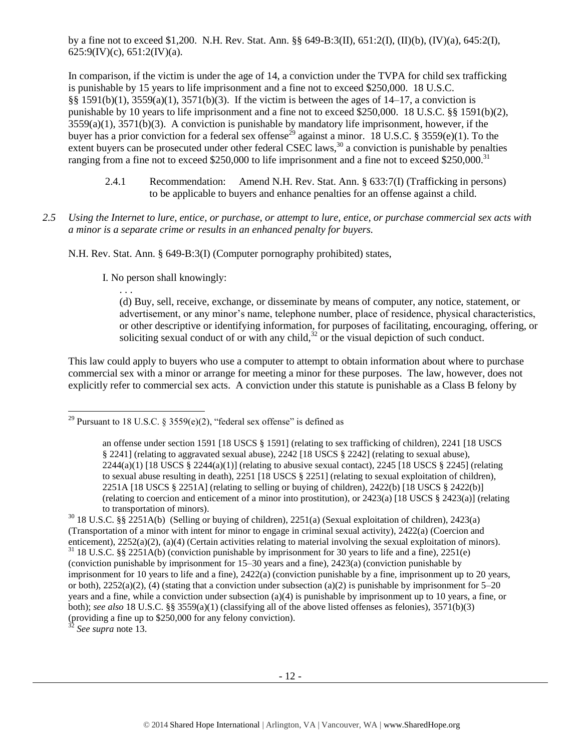by a fine not to exceed \$1,200. N.H. Rev. Stat. Ann. §§ 649-B:3(II), 651:2(I), (II)(b), (IV)(a), 645:2(I),  $625:9$ (IV)(c),  $651:2$ (IV)(a).

In comparison, if the victim is under the age of 14, a conviction under the TVPA for child sex trafficking is punishable by 15 years to life imprisonment and a fine not to exceed \$250,000. 18 U.S.C. §§ 1591(b)(1),  $3559(a)(1)$ ,  $3571(b)(3)$ . If the victim is between the ages of 14–17, a conviction is punishable by 10 years to life imprisonment and a fine not to exceed \$250,000. 18 U.S.C. §§ 1591(b)(2), 3559(a)(1), 3571(b)(3). A conviction is punishable by mandatory life imprisonment, however, if the buyer has a prior conviction for a federal sex offense<sup>29</sup> against a minor. 18 U.S.C. § 3559(e)(1). To the extent buyers can be prosecuted under other federal CSEC laws,  $30$  a conviction is punishable by penalties ranging from a fine not to exceed \$250,000 to life imprisonment and a fine not to exceed \$250,000.<sup>31</sup>

- <span id="page-11-0"></span>2.4.1 Recommendation: Amend N.H. Rev. Stat. Ann. § 633:7(I) (Trafficking in persons) to be applicable to buyers and enhance penalties for an offense against a child.
- *2.5 Using the Internet to lure, entice, or purchase, or attempt to lure, entice, or purchase commercial sex acts with a minor is a separate crime or results in an enhanced penalty for buyers.*

N.H. Rev. Stat. Ann. § 649-B:3(I) (Computer pornography prohibited) states,

I. No person shall knowingly:

. . .

 $\overline{a}$ 

(d) Buy, sell, receive, exchange, or disseminate by means of computer, any notice, statement, or advertisement, or any minor's name, telephone number, place of residence, physical characteristics, or other descriptive or identifying information, for purposes of facilitating, encouraging, offering, or soliciting sexual conduct of or with any child, $32$  or the visual depiction of such conduct.

This law could apply to buyers who use a computer to attempt to obtain information about where to purchase commercial sex with a minor or arrange for meeting a minor for these purposes. The law, however, does not explicitly refer to commercial sex acts. A conviction under this statute is punishable as a Class B felony by

<sup>32</sup> *See supra* note [13.](#page-5-0) 

<sup>&</sup>lt;sup>29</sup> Pursuant to 18 U.S.C. § 3559(e)(2), "federal sex offense" is defined as

an offense under section 1591 [18 USCS § 1591] (relating to sex trafficking of children), 2241 [18 USCS § 2241] (relating to aggravated sexual abuse), 2242 [18 USCS § 2242] (relating to sexual abuse),  $2244(a)(1)$  [18 USCS § 2244(a)(1)] (relating to abusive sexual contact), 2245 [18 USCS § 2245] (relating to sexual abuse resulting in death), 2251 [18 USCS § 2251] (relating to sexual exploitation of children), 2251A [18 USCS § 2251A] (relating to selling or buying of children), 2422(b) [18 USCS § 2422(b)] (relating to coercion and enticement of a minor into prostitution), or 2423(a) [18 USCS § 2423(a)] (relating to transportation of minors).

 $30\,$  18 U.S.C. §§ 2251A(b) (Selling or buying of children), 2251(a) (Sexual exploitation of children), 2423(a) (Transportation of a minor with intent for minor to engage in criminal sexual activity), 2422(a) (Coercion and enticement), 2252(a)(2), (a)(4) (Certain activities relating to material involving the sexual exploitation of minors). <sup>31</sup> 18 U.S.C. §§ 2251A(b) (conviction punishable by imprisonment for 30 years to life and a fine), 2251(e) (conviction punishable by imprisonment for 15–30 years and a fine), 2423(a) (conviction punishable by imprisonment for 10 years to life and a fine), 2422(a) (conviction punishable by a fine, imprisonment up to 20 years, or both),  $2252(a)(2)$ , (4) (stating that a conviction under subsection (a)(2) is punishable by imprisonment for 5–20 years and a fine, while a conviction under subsection (a)(4) is punishable by imprisonment up to 10 years, a fine, or both); *see also* 18 U.S.C. §§ 3559(a)(1) (classifying all of the above listed offenses as felonies), 3571(b)(3) (providing a fine up to \$250,000 for any felony conviction).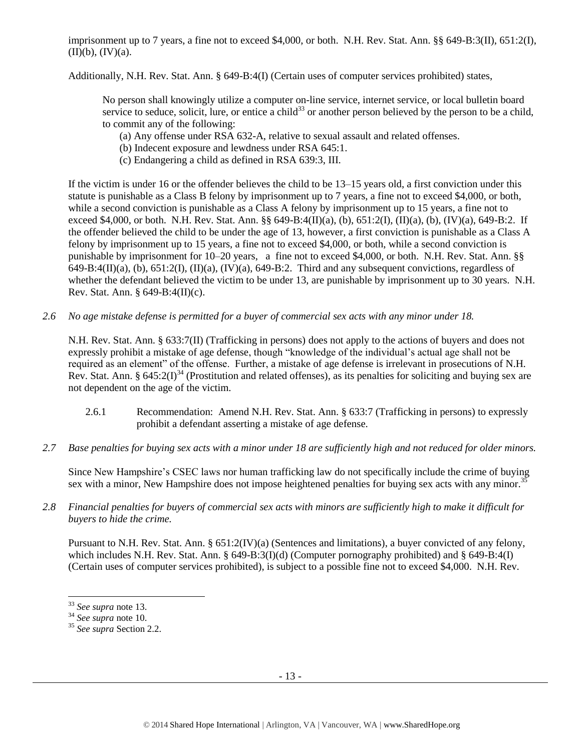imprisonment up to 7 years, a fine not to exceed \$4,000, or both. N.H. Rev. Stat. Ann. §§ 649-B:3(II), 651:2(I),  $(\overline{II})(b), (\overline{IV})(a).$ 

Additionally, N.H. Rev. Stat. Ann. § 649-B:4(I) (Certain uses of computer services prohibited) states,

No person shall knowingly utilize a computer on-line service, internet service, or local bulletin board service to seduce, solicit, lure, or entice a child<sup>33</sup> or another person believed by the person to be a child, to commit any of the following:

- (a) Any offense under RSA 632-A, relative to sexual assault and related offenses.
- (b) Indecent exposure and lewdness under RSA 645:1.
- (c) Endangering a child as defined in RSA 639:3, III.

If the victim is under 16 or the offender believes the child to be 13–15 years old, a first conviction under this statute is punishable as a Class B felony by imprisonment up to 7 years, a fine not to exceed \$4,000, or both, while a second conviction is punishable as a Class A felony by imprisonment up to 15 years, a fine not to exceed \$4,000, or both. N.H. Rev. Stat. Ann. §§ 649-B:4(II)(a), (b), 651:2(I), (II)(a), (b), (IV)(a), 649-B:2. If the offender believed the child to be under the age of 13, however, a first conviction is punishable as a Class A felony by imprisonment up to 15 years, a fine not to exceed \$4,000, or both, while a second conviction is punishable by imprisonment for 10–20 years, a fine not to exceed \$4,000, or both. N.H. Rev. Stat. Ann. §§  $649-B:4(II)(a)$ , (b),  $651:2(I)$ ,  $(II)(a)$ ,  $(IV)(a)$ ,  $649-B:2$ . Third and any subsequent convictions, regardless of whether the defendant believed the victim to be under 13, are punishable by imprisonment up to 30 years. N.H. Rev. Stat. Ann. § 649-B:4(II)(c).

*2.6 No age mistake defense is permitted for a buyer of commercial sex acts with any minor under 18.*

N.H. Rev. Stat. Ann. § 633:7(II) (Trafficking in persons) does not apply to the actions of buyers and does not expressly prohibit a mistake of age defense, though "knowledge of the individual's actual age shall not be required as an element" of the offense. Further, a mistake of age defense is irrelevant in prosecutions of N.H. Rev. Stat. Ann. §  $645:2(I)^{34}$  (Prostitution and related offenses), as its penalties for soliciting and buying sex are not dependent on the age of the victim.

- 2.6.1 Recommendation: Amend N.H. Rev. Stat. Ann. § 633:7 (Trafficking in persons) to expressly prohibit a defendant asserting a mistake of age defense.
- *2.7 Base penalties for buying sex acts with a minor under 18 are sufficiently high and not reduced for older minors.*

Since New Hampshire's CSEC laws nor human trafficking law do not specifically include the crime of buying sex with a minor, New Hampshire does not impose heightened penalties for buying sex acts with any minor.<sup>35</sup>

*2.8 Financial penalties for buyers of commercial sex acts with minors are sufficiently high to make it difficult for buyers to hide the crime.* 

Pursuant to N.H. Rev. Stat. Ann. § 651:2(IV)(a) (Sentences and limitations), a buyer convicted of any felony, which includes N.H. Rev. Stat. Ann. § 649-B:3(I)(d) (Computer pornography prohibited) and § 649-B:4(I) (Certain uses of computer services prohibited), is subject to a possible fine not to exceed \$4,000. N.H. Rev.

l <sup>33</sup> *See supra* note [13.](#page-5-0) 

<sup>34</sup> *See supra* note [10.](#page-4-0)

<sup>35</sup> *See supra* Section 2.2.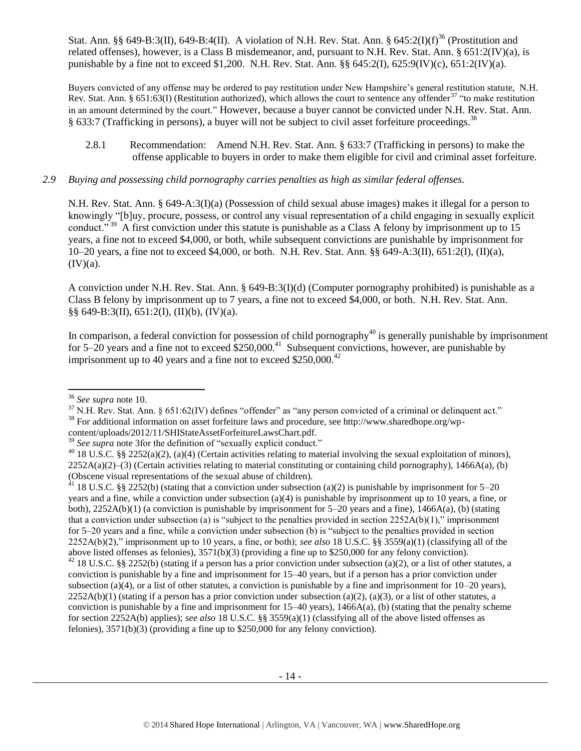Stat. Ann. §§ 649-B:3(II), 649-B:4(II). A violation of N.H. Rev. Stat. Ann. § 645:2(I)(f)<sup>36</sup> (Prostitution and related offenses), however, is a Class B misdemeanor, and, pursuant to N.H. Rev. Stat. Ann. § 651:2(IV)(a), is punishable by a fine not to exceed \$1,200. N.H. Rev. Stat. Ann.  $\S § 645:2(I)$ ,  $625:9(IV)(c)$ ,  $651:2(IV)(a)$ .

Buyers convicted of any offense may be ordered to pay restitution under New Hampshire's general restitution statute, N.H. Rev. Stat. Ann. § 651:63(I) (Restitution authorized), which allows the court to sentence any offender<sup>37</sup> "to make restitution in an amount determined by the court." However, because a buyer cannot be convicted under N.H. Rev. Stat. Ann. § 633:7 (Trafficking in persons), a buyer will not be subject to civil asset forfeiture proceedings.<sup>38</sup>

2.8.1 Recommendation: Amend N.H. Rev. Stat. Ann. § 633:7 (Trafficking in persons) to make the offense applicable to buyers in order to make them eligible for civil and criminal asset forfeiture.

## *2.9 Buying and possessing child pornography carries penalties as high as similar federal offenses.*

N.H. Rev. Stat. Ann. § 649-A:3(I)(a) (Possession of child sexual abuse images) makes it illegal for a person to knowingly "[b]uy, procure, possess, or control any visual representation of a child engaging in sexually explicit conduct."<sup>39</sup> A first conviction under this statute is punishable as a Class A felony by imprisonment up to 15 years, a fine not to exceed \$4,000, or both, while subsequent convictions are punishable by imprisonment for 10–20 years, a fine not to exceed \$4,000, or both. N.H. Rev. Stat. Ann. §§ 649-A:3(II), 651:2(I), (II)(a),  $(IV)(a)$ .

A conviction under N.H. Rev. Stat. Ann. § 649-B:3(I)(d) (Computer pornography prohibited) is punishable as a Class B felony by imprisonment up to 7 years, a fine not to exceed \$4,000, or both. N.H. Rev. Stat. Ann.  $\S\S 649-B:3(II), 651:2(I), (II)(b), (IV)(a).$ 

In comparison, a federal conviction for possession of child pornography $40$  is generally punishable by imprisonment for 5–20 years and a fine not to exceed  $$250,000.<sup>41</sup>$  Subsequent convictions, however, are punishable by imprisonment up to 40 years and a fine not to exceed  $$250,000.<sup>42</sup>$ 

l

<sup>37</sup> N.H. Rev. Stat. Ann. § 651:62(IV) defines "offender" as "any person convicted of a criminal or delinquent act." <sup>38</sup> For additional information on asset forfeiture laws and procedure, see http://www.sharedhope.org/wp-

content/uploads/2012/11/SHIStateAssetForfeitureLawsChart.pdf.

<sup>36</sup> *See supra* note [10.](#page-4-0)

<sup>&</sup>lt;sup>39</sup> See supra note 3 for the definition of "sexually explicit conduct."

 $40$  18 U.S.C. §§ 2252(a)(2), (a)(4) (Certain activities relating to material involving the sexual exploitation of minors),  $2252A(a)(2)$ –(3) (Certain activities relating to material constituting or containing child pornography), 1466A(a), (b) (Obscene visual representations of the sexual abuse of children).

<sup>&</sup>lt;sup>41</sup> 18 U.S.C. §§ 2252(b) (stating that a conviction under subsection (a)(2) is punishable by imprisonment for 5–20 years and a fine, while a conviction under subsection (a)(4) is punishable by imprisonment up to 10 years, a fine, or both),  $2252A(b)(1)$  (a conviction is punishable by imprisonment for  $5-20$  years and a fine),  $1466A(a)$ , (b) (stating that a conviction under subsection (a) is "subject to the penalties provided in section  $2252A(b)(1)$ ," imprisonment for 5–20 years and a fine, while a conviction under subsection (b) is "subject to the penalties provided in section 2252A(b)(2)," imprisonment up to 10 years, a fine, or both); *see also* 18 U.S.C. §§ 3559(a)(1) (classifying all of the above listed offenses as felonies), 3571(b)(3) (providing a fine up to \$250,000 for any felony conviction).

<sup>&</sup>lt;sup>42</sup> 18 U.S.C. §§ 2252(b) (stating if a person has a prior conviction under subsection (a)(2), or a list of other statutes, a conviction is punishable by a fine and imprisonment for 15–40 years, but if a person has a prior conviction under subsection (a)(4), or a list of other statutes, a conviction is punishable by a fine and imprisonment for  $10-20$  years),  $2252A(b)(1)$  (stating if a person has a prior conviction under subsection (a)(2), (a)(3), or a list of other statutes, a conviction is punishable by a fine and imprisonment for  $15-40$  years),  $1466A(a)$ , (b) (stating that the penalty scheme for section 2252A(b) applies); *see also* 18 U.S.C. §§ 3559(a)(1) (classifying all of the above listed offenses as felonies), 3571(b)(3) (providing a fine up to \$250,000 for any felony conviction).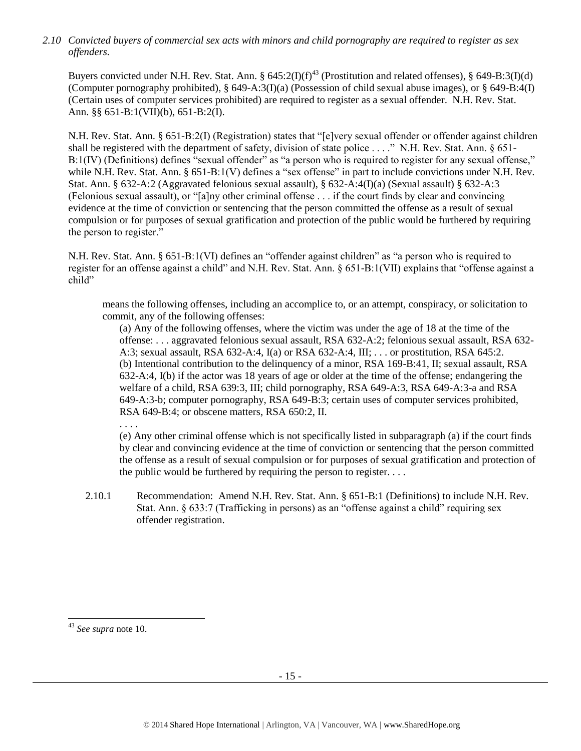*2.10 Convicted buyers of commercial sex acts with minors and child pornography are required to register as sex offenders.* 

Buyers convicted under N.H. Rev. Stat. Ann. §  $645:2(I)(f)^{43}$  (Prostitution and related offenses), § 649-B:3(I)(d) (Computer pornography prohibited), § 649-A:3(I)(a) (Possession of child sexual abuse images), or § 649-B:4(I) (Certain uses of computer services prohibited) are required to register as a sexual offender. N.H. Rev. Stat. Ann. §§ 651-B:1(VII)(b), 651-B:2(I).

N.H. Rev. Stat. Ann. § 651-B:2(I) (Registration) states that "[e]very sexual offender or offender against children shall be registered with the department of safety, division of state police . . . ." N.H. Rev. Stat. Ann. § 651- B:1(IV) (Definitions) defines "sexual offender" as "a person who is required to register for any sexual offense," while N.H. Rev. Stat. Ann. § 651-B:1(V) defines a "sex offense" in part to include convictions under N.H. Rev. Stat. Ann. § 632-A:2 (Aggravated felonious sexual assault), § 632-A:4(I)(a) (Sexual assault) § 632-A:3 (Felonious sexual assault), or "[a]ny other criminal offense . . . if the court finds by clear and convincing evidence at the time of conviction or sentencing that the person committed the offense as a result of sexual compulsion or for purposes of sexual gratification and protection of the public would be furthered by requiring the person to register."

N.H. Rev. Stat. Ann. § 651-B:1(VI) defines an "offender against children" as "a person who is required to register for an offense against a child" and N.H. Rev. Stat. Ann. § 651-B:1(VII) explains that "offense against a child"

means the following offenses, including an accomplice to, or an attempt, conspiracy, or solicitation to commit, any of the following offenses:

(a) Any of the following offenses, where the victim was under the age of 18 at the time of the offense: . . . aggravated felonious sexual assault, RSA 632-A:2; felonious sexual assault, RSA 632- A:3; sexual assault, RSA 632-A:4, I(a) or RSA 632-A:4, III; . . . or prostitution, RSA 645:2. (b) Intentional contribution to the delinquency of a minor, RSA 169-B:41, II; sexual assault, RSA 632-A:4, I(b) if the actor was 18 years of age or older at the time of the offense; endangering the welfare of a child, RSA 639:3, III; child pornography, RSA 649-A:3, RSA 649-A:3-a and RSA 649-A:3-b; computer pornography, RSA 649-B:3; certain uses of computer services prohibited, RSA 649-B:4; or obscene matters, RSA 650:2, II.

. . . .

(e) Any other criminal offense which is not specifically listed in subparagraph (a) if the court finds by clear and convincing evidence at the time of conviction or sentencing that the person committed the offense as a result of sexual compulsion or for purposes of sexual gratification and protection of the public would be furthered by requiring the person to register. . . .

2.10.1 Recommendation: Amend N.H. Rev. Stat. Ann. § 651-B:1 (Definitions) to include N.H. Rev. Stat. Ann. § 633:7 (Trafficking in persons) as an "offense against a child" requiring sex offender registration.

l

<sup>43</sup> *See supra* note [10.](#page-4-0)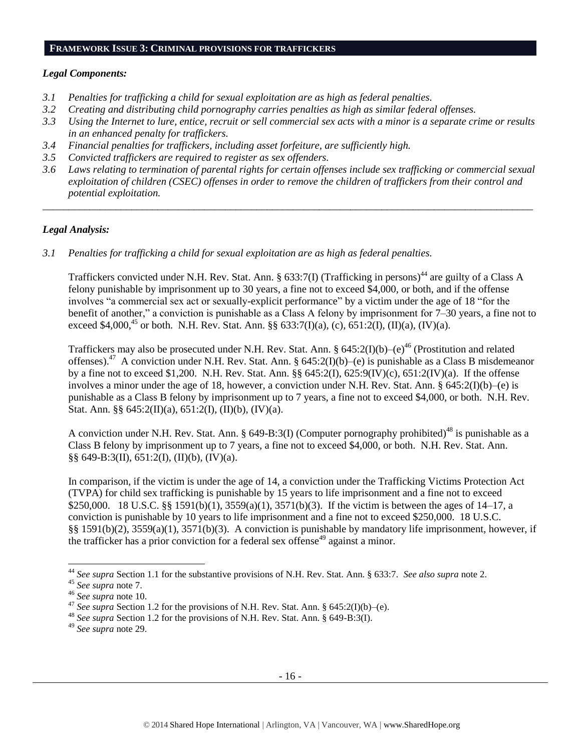#### **FRAMEWORK ISSUE 3: CRIMINAL PROVISIONS FOR TRAFFICKERS**

#### *Legal Components:*

- *3.1 Penalties for trafficking a child for sexual exploitation are as high as federal penalties.*
- *3.2 Creating and distributing child pornography carries penalties as high as similar federal offenses.*
- *3.3 Using the Internet to lure, entice, recruit or sell commercial sex acts with a minor is a separate crime or results in an enhanced penalty for traffickers.*
- *3.4 Financial penalties for traffickers, including asset forfeiture, are sufficiently high.*
- *3.5 Convicted traffickers are required to register as sex offenders.*
- *3.6 Laws relating to termination of parental rights for certain offenses include sex trafficking or commercial sexual exploitation of children (CSEC) offenses in order to remove the children of traffickers from their control and potential exploitation.*

*\_\_\_\_\_\_\_\_\_\_\_\_\_\_\_\_\_\_\_\_\_\_\_\_\_\_\_\_\_\_\_\_\_\_\_\_\_\_\_\_\_\_\_\_\_\_\_\_\_\_\_\_\_\_\_\_\_\_\_\_\_\_\_\_\_\_\_\_\_\_\_\_\_\_\_\_\_\_\_\_\_\_\_\_\_\_\_\_\_\_\_\_\_\_*

#### *Legal Analysis:*

*3.1 Penalties for trafficking a child for sexual exploitation are as high as federal penalties.* 

Traffickers convicted under N.H. Rev. Stat. Ann. § 633:7(I) (Trafficking in persons)<sup>44</sup> are guilty of a Class A felony punishable by imprisonment up to 30 years, a fine not to exceed \$4,000, or both, and if the offense involves "a commercial sex act or sexually-explicit performance" by a victim under the age of 18 "for the benefit of another," a conviction is punishable as a Class A felony by imprisonment for 7–30 years, a fine not to exceed \$4,000,<sup>45</sup> or both. N.H. Rev. Stat. Ann. §§ 633:7(I)(a), (c), 651:2(I), (II)(a), (IV)(a).

Traffickers may also be prosecuted under N.H. Rev. Stat. Ann. §  $645:2(I)(b)-(e)^{46}$  (Prostitution and related offenses).<sup>47</sup> A conviction under N.H. Rev. Stat. Ann. § 645:2(I)(b)–(e) is punishable as a Class B misdemeanor by a fine not to exceed \$1,200. N.H. Rev. Stat. Ann. §§ 645:2(I), 625:9(IV)(c), 651:2(IV)(a). If the offense involves a minor under the age of 18, however, a conviction under N.H. Rev. Stat. Ann. §  $645:2(I)(b)$ –(e) is punishable as a Class B felony by imprisonment up to 7 years, a fine not to exceed \$4,000, or both. N.H. Rev. Stat. Ann. §§  $645:2(II)(a)$ ,  $651:2(I)$ ,  $(II)(b)$ ,  $(IV)(a)$ .

A conviction under N.H. Rev. Stat. Ann. § 649-B:3(I) (Computer pornography prohibited)<sup>48</sup> is punishable as a Class B felony by imprisonment up to 7 years, a fine not to exceed \$4,000, or both. N.H. Rev. Stat. Ann. §§ 649-B:3(II), 651:2(I), (II)(b), (IV)(a).

In comparison, if the victim is under the age of 14, a conviction under the Trafficking Victims Protection Act (TVPA) for child sex trafficking is punishable by 15 years to life imprisonment and a fine not to exceed \$250,000. 18 U.S.C. §§ 1591(b)(1), 3559(a)(1), 3571(b)(3). If the victim is between the ages of 14–17, a conviction is punishable by 10 years to life imprisonment and a fine not to exceed \$250,000. 18 U.S.C. §§ 1591(b)(2), 3559(a)(1), 3571(b)(3). A conviction is punishable by mandatory life imprisonment, however, if the trafficker has a prior conviction for a federal sex offense<sup>49</sup> against a minor.

l

<sup>44</sup> *See supra* Section 1.1 for the substantive provisions of N.H. Rev. Stat. Ann. § 633:7. *See also supra* not[e 2.](#page-0-0)

<sup>45</sup> *See supra* note [7.](#page-2-2)

<sup>46</sup> *See supra* note [10.](#page-4-0)

<sup>&</sup>lt;sup>47</sup> *See supra* Section 1.2 for the provisions of N.H. Rev. Stat. Ann. § 645:2(I)(b)–(e).

<sup>48</sup> *See supra* Section 1.2 for the provisions of N.H. Rev. Stat. Ann. § 649-B:3(I).

<sup>49</sup> *See supra* note [29.](#page-11-0)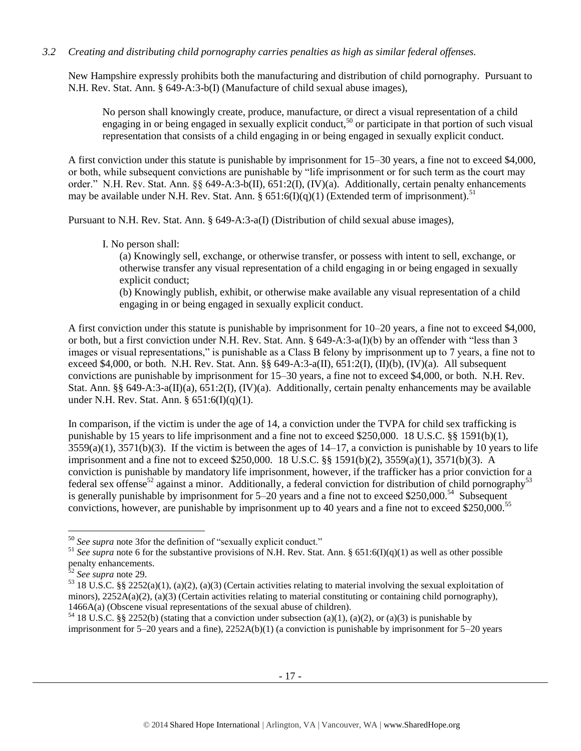# *3.2 Creating and distributing child pornography carries penalties as high as similar federal offenses.*

New Hampshire expressly prohibits both the manufacturing and distribution of child pornography. Pursuant to N.H. Rev. Stat. Ann. § 649-A:3-b(I) (Manufacture of child sexual abuse images),

No person shall knowingly create, produce, manufacture, or direct a visual representation of a child engaging in or being engaged in sexually explicit conduct,<sup>50</sup> or participate in that portion of such visual representation that consists of a child engaging in or being engaged in sexually explicit conduct.

A first conviction under this statute is punishable by imprisonment for 15–30 years, a fine not to exceed \$4,000, or both, while subsequent convictions are punishable by "life imprisonment or for such term as the court may order." N.H. Rev. Stat. Ann. §§ 649-A:3-b(II), 651:2(I), (IV)(a). Additionally, certain penalty enhancements may be available under N.H. Rev. Stat. Ann. §  $651:6(I)(q)(1)$  (Extended term of imprisonment).<sup>51</sup>

Pursuant to N.H. Rev. Stat. Ann. § 649-A:3-a(I) (Distribution of child sexual abuse images),

I. No person shall:

(a) Knowingly sell, exchange, or otherwise transfer, or possess with intent to sell, exchange, or otherwise transfer any visual representation of a child engaging in or being engaged in sexually explicit conduct;

(b) Knowingly publish, exhibit, or otherwise make available any visual representation of a child engaging in or being engaged in sexually explicit conduct.

A first conviction under this statute is punishable by imprisonment for 10–20 years, a fine not to exceed \$4,000, or both, but a first conviction under N.H. Rev. Stat. Ann. § 649-A:3-a(I)(b) by an offender with "less than 3 images or visual representations," is punishable as a Class B felony by imprisonment up to 7 years, a fine not to exceed \$4,000, or both. N.H. Rev. Stat. Ann. §§ 649-A:3-a(II), 651:2(I), (II)(b), (IV)(a). All subsequent convictions are punishable by imprisonment for 15–30 years, a fine not to exceed \$4,000, or both. N.H. Rev. Stat. Ann. §§ 649-A:3-a(II)(a), 651:2(I), (IV)(a). Additionally, certain penalty enhancements may be available under N.H. Rev. Stat. Ann. § 651:6(I)(q)(1).

In comparison, if the victim is under the age of 14, a conviction under the TVPA for child sex trafficking is punishable by 15 years to life imprisonment and a fine not to exceed \$250,000. 18 U.S.C. §§ 1591(b)(1),  $3559(a)(1)$ ,  $3571(b)(3)$ . If the victim is between the ages of  $14-17$ , a conviction is punishable by 10 years to life imprisonment and a fine not to exceed \$250,000. 18 U.S.C. §§ 1591(b)(2), 3559(a)(1), 3571(b)(3). A conviction is punishable by mandatory life imprisonment, however, if the trafficker has a prior conviction for a federal sex offense<sup>52</sup> against a minor. Additionally, a federal conviction for distribution of child pornography<sup>53</sup> is generally punishable by imprisonment for 5–20 years and a fine not to exceed \$250,000.<sup>54</sup> Subsequent convictions, however, are punishable by imprisonment up to 40 years and a fine not to exceed \$250,000.<sup>55</sup>

 $\overline{a}$ 

<sup>50</sup> *See supra* note [3f](#page-1-0)or the definition of "sexually explicit conduct."

<sup>&</sup>lt;sup>51</sup> See supra note [6](#page-2-1) for the substantive provisions of N.H. Rev. Stat. Ann. § 651:6(I)(q)(1) as well as other possible penalty enhancements.

<sup>52</sup> *See supra* note [29.](#page-11-0)

 $53$  18 U.S.C. §§ 2252(a)(1), (a)(2), (a)(3) (Certain activities relating to material involving the sexual exploitation of minors),  $2252A(a)(2)$ , (a)(3) (Certain activities relating to material constituting or containing child pornography), 1466A(a) (Obscene visual representations of the sexual abuse of children).

<sup>&</sup>lt;sup>54</sup> 18 U.S.C. §§ 2252(b) (stating that a conviction under subsection (a)(1), (a)(2), or (a)(3) is punishable by imprisonment for 5–20 years and a fine), 2252A(b)(1) (a conviction is punishable by imprisonment for 5–20 years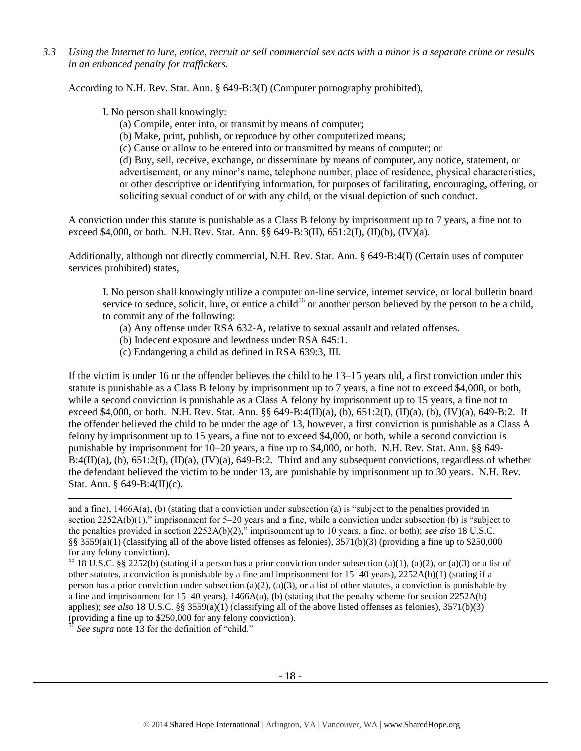*3.3 Using the Internet to lure, entice, recruit or sell commercial sex acts with a minor is a separate crime or results in an enhanced penalty for traffickers.*

According to N.H. Rev. Stat. Ann. § 649-B:3(I) (Computer pornography prohibited),

I. No person shall knowingly:

- (a) Compile, enter into, or transmit by means of computer;
- (b) Make, print, publish, or reproduce by other computerized means;
- (c) Cause or allow to be entered into or transmitted by means of computer; or

(d) Buy, sell, receive, exchange, or disseminate by means of computer, any notice, statement, or advertisement, or any minor's name, telephone number, place of residence, physical characteristics, or other descriptive or identifying information, for purposes of facilitating, encouraging, offering, or soliciting sexual conduct of or with any child, or the visual depiction of such conduct.

A conviction under this statute is punishable as a Class B felony by imprisonment up to 7 years, a fine not to exceed \$4,000, or both. N.H. Rev. Stat. Ann. §§ 649-B:3(II), 651:2(I), (II)(b), (IV)(a).

Additionally, although not directly commercial, N.H. Rev. Stat. Ann. § 649-B:4(I) (Certain uses of computer services prohibited) states,

I. No person shall knowingly utilize a computer on-line service, internet service, or local bulletin board service to seduce, solicit, lure, or entice a child<sup>56</sup> or another person believed by the person to be a child, to commit any of the following:

- (a) Any offense under RSA 632-A, relative to sexual assault and related offenses.
- (b) Indecent exposure and lewdness under RSA 645:1.
- (c) Endangering a child as defined in RSA 639:3, III.

If the victim is under 16 or the offender believes the child to be 13–15 years old, a first conviction under this statute is punishable as a Class B felony by imprisonment up to 7 years, a fine not to exceed \$4,000, or both, while a second conviction is punishable as a Class A felony by imprisonment up to 15 years, a fine not to exceed \$4,000, or both. N.H. Rev. Stat. Ann. §§ 649-B:4(II)(a), (b), 651:2(I), (II)(a), (b), (IV)(a), 649-B:2. If the offender believed the child to be under the age of 13, however, a first conviction is punishable as a Class A felony by imprisonment up to 15 years, a fine not to exceed \$4,000, or both, while a second conviction is punishable by imprisonment for 10–20 years, a fine up to \$4,000, or both. N.H. Rev. Stat. Ann. §§ 649-  $B:4(II)(a)$ , (b),  $651:2(I)$ ,  $(II)(a)$ ,  $(IV)(a)$ ,  $649-B:2$ . Third and any subsequent convictions, regardless of whether the defendant believed the victim to be under 13, are punishable by imprisonment up to 30 years. N.H. Rev. Stat. Ann. § 649-B:4(II)(c).

<sup>56</sup> *See supra* note [13](#page-5-0) for the definition of "child."

l

and a fine), 1466A(a), (b) (stating that a conviction under subsection (a) is "subject to the penalties provided in section 2252A(b)(1)," imprisonment for 5–20 years and a fine, while a conviction under subsection (b) is "subject to the penalties provided in section 2252A(b)(2)," imprisonment up to 10 years, a fine, or both); *see also* 18 U.S.C. §§ 3559(a)(1) (classifying all of the above listed offenses as felonies),  $3571(b)(3)$  (providing a fine up to \$250,000 for any felony conviction).

<sup>&</sup>lt;sup>55</sup> 18 U.S.C. §§ 2252(b) (stating if a person has a prior conviction under subsection (a)(1), (a)(2), or (a)(3) or a list of other statutes, a conviction is punishable by a fine and imprisonment for 15–40 years), 2252A(b)(1) (stating if a person has a prior conviction under subsection (a)(2), (a)(3), or a list of other statutes, a conviction is punishable by a fine and imprisonment for  $15-40$  years),  $1466A(a)$ , (b) (stating that the penalty scheme for section  $2252A(b)$ applies); *see also* 18 U.S.C. §§ 3559(a)(1) (classifying all of the above listed offenses as felonies), 3571(b)(3) (providing a fine up to \$250,000 for any felony conviction).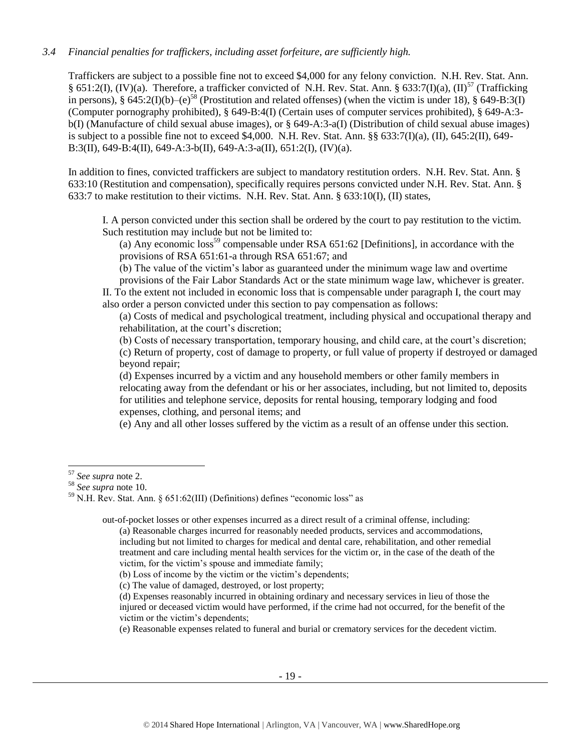# *3.4 Financial penalties for traffickers, including asset forfeiture, are sufficiently high.*

Traffickers are subject to a possible fine not to exceed \$4,000 for any felony conviction. N.H. Rev. Stat. Ann. § 651:2(I), (IV)(a). Therefore, a trafficker convicted of N.H. Rev. Stat. Ann. § 633:7(I)(a), (II)<sup>57</sup> (Trafficking in persons), § 645:2(I)(b)–(e)<sup>58</sup> (Prostitution and related offenses) (when the victim is under 18), § 649-B:3(I) (Computer pornography prohibited), § 649-B:4(I) (Certain uses of computer services prohibited), § 649-A:3 b(I) (Manufacture of child sexual abuse images), or § 649-A:3-a(I) (Distribution of child sexual abuse images) is subject to a possible fine not to exceed \$4,000. N.H. Rev. Stat. Ann. §§ 633:7(I)(a), (II), 645:2(II), 649- B:3(II), 649-B:4(II), 649-A:3-b(II), 649-A:3-a(II), 651:2(I), (IV)(a).

In addition to fines, convicted traffickers are subject to mandatory restitution orders. N.H. Rev. Stat. Ann. § 633:10 (Restitution and compensation), specifically requires persons convicted under N.H. Rev. Stat. Ann. § 633:7 to make restitution to their victims. N.H. Rev. Stat. Ann. § 633:10(I), (II) states,

I. A person convicted under this section shall be ordered by the court to pay restitution to the victim. Such restitution may include but not be limited to:

<span id="page-18-0"></span>(a) Any economic  $loss^{59}$  compensable under RSA 651:62 [Definitions], in accordance with the provisions of RSA 651:61-a through RSA 651:67; and

(b) The value of the victim's labor as guaranteed under the minimum wage law and overtime

provisions of the Fair Labor Standards Act or the state minimum wage law, whichever is greater. II. To the extent not included in economic loss that is compensable under paragraph I, the court may also order a person convicted under this section to pay compensation as follows:

(a) Costs of medical and psychological treatment, including physical and occupational therapy and rehabilitation, at the court's discretion;

(b) Costs of necessary transportation, temporary housing, and child care, at the court's discretion;

(c) Return of property, cost of damage to property, or full value of property if destroyed or damaged beyond repair;

(d) Expenses incurred by a victim and any household members or other family members in relocating away from the defendant or his or her associates, including, but not limited to, deposits for utilities and telephone service, deposits for rental housing, temporary lodging and food expenses, clothing, and personal items; and

(e) Any and all other losses suffered by the victim as a result of an offense under this section.

out-of-pocket losses or other expenses incurred as a direct result of a criminal offense, including: (a) Reasonable charges incurred for reasonably needed products, services and accommodations,

including but not limited to charges for medical and dental care, rehabilitation, and other remedial treatment and care including mental health services for the victim or, in the case of the death of the victim, for the victim's spouse and immediate family;

(b) Loss of income by the victim or the victim's dependents;

(c) The value of damaged, destroyed, or lost property;

(d) Expenses reasonably incurred in obtaining ordinary and necessary services in lieu of those the injured or deceased victim would have performed, if the crime had not occurred, for the benefit of the victim or the victim's dependents;

(e) Reasonable expenses related to funeral and burial or crematory services for the decedent victim.

 $\overline{\phantom{a}}$ <sup>57</sup> *See supra* note [2.](#page-0-0)

<sup>58</sup> *See supra* note [10.](#page-4-0)

<sup>59</sup> N.H. Rev. Stat. Ann. § 651:62(III) (Definitions) defines "economic loss" as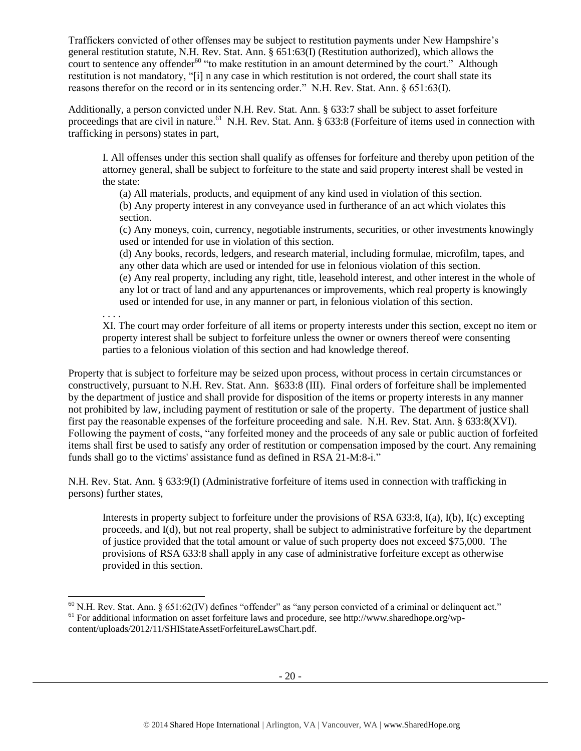Traffickers convicted of other offenses may be subject to restitution payments under New Hampshire's general restitution statute, N.H. Rev. Stat. Ann. § 651:63(I) (Restitution authorized), which allows the court to sentence any offender<sup>60</sup> "to make restitution in an amount determined by the court." Although restitution is not mandatory, "[i] n any case in which restitution is not ordered, the court shall state its reasons therefor on the record or in its sentencing order." N.H. Rev. Stat. Ann. § 651:63(I).

Additionally, a person convicted under N.H. Rev. Stat. Ann. § 633:7 shall be subject to asset forfeiture proceedings that are civil in nature.<sup>61</sup> N.H. Rev. Stat. Ann. § 633:8 (Forfeiture of items used in connection with trafficking in persons) states in part,

I. All offenses under this section shall qualify as offenses for forfeiture and thereby upon petition of the attorney general, shall be subject to forfeiture to the state and said property interest shall be vested in the state:

(a) All materials, products, and equipment of any kind used in violation of this section.

(b) Any property interest in any conveyance used in furtherance of an act which violates this section.

(c) Any moneys, coin, currency, negotiable instruments, securities, or other investments knowingly used or intended for use in violation of this section.

(d) Any books, records, ledgers, and research material, including formulae, microfilm, tapes, and any other data which are used or intended for use in felonious violation of this section.

(e) Any real property, including any right, title, leasehold interest, and other interest in the whole of any lot or tract of land and any appurtenances or improvements, which real property is knowingly used or intended for use, in any manner or part, in felonious violation of this section.

. . . .

l

XI. The court may order forfeiture of all items or property interests under this section, except no item or property interest shall be subject to forfeiture unless the owner or owners thereof were consenting parties to a felonious violation of this section and had knowledge thereof.

Property that is subject to forfeiture may be seized upon process, without process in certain circumstances or constructively, pursuant to N.H. Rev. Stat. Ann. §633:8 (III). Final orders of forfeiture shall be implemented by the department of justice and shall provide for disposition of the items or property interests in any manner not prohibited by law, including payment of restitution or sale of the property. The department of justice shall first pay the reasonable expenses of the forfeiture proceeding and sale. N.H. Rev. Stat. Ann. § 633:8(XVI). Following the payment of costs, "any forfeited money and the proceeds of any sale or public auction of forfeited items shall first be used to satisfy any order of restitution or compensation imposed by the court. Any remaining funds shall go to the victims' assistance fund as defined in RSA 21-M:8-i."

N.H. Rev. Stat. Ann. § 633:9(I) (Administrative forfeiture of items used in connection with trafficking in persons) further states,

Interests in property subject to forfeiture under the provisions of RSA 633:8, I(a), I(b), I(c) excepting proceeds, and I(d), but not real property, shall be subject to administrative forfeiture by the department of justice provided that the total amount or value of such property does not exceed \$75,000. The provisions of RSA 633:8 shall apply in any case of administrative forfeiture except as otherwise provided in this section.

 $60$  N.H. Rev. Stat. Ann. § 651:62(IV) defines "offender" as "any person convicted of a criminal or delinquent act." <sup>61</sup> For additional information on asset forfeiture laws and procedure, see http://www.sharedhope.org/wpcontent/uploads/2012/11/SHIStateAssetForfeitureLawsChart.pdf.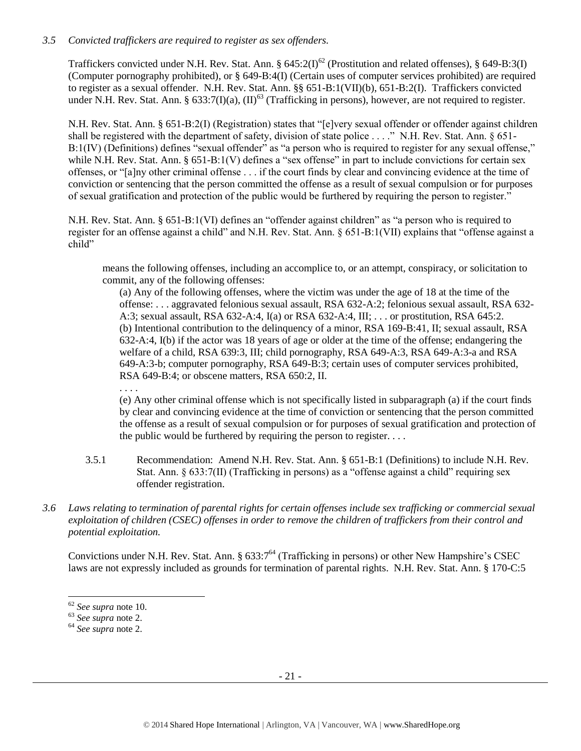# *3.5 Convicted traffickers are required to register as sex offenders.*

Traffickers convicted under N.H. Rev. Stat. Ann. §  $645:2(I)^{62}$  (Prostitution and related offenses), § 649-B:3(I) (Computer pornography prohibited), or § 649-B:4(I) (Certain uses of computer services prohibited) are required to register as a sexual offender. N.H. Rev. Stat. Ann. §§ 651-B:1(VII)(b), 651-B:2(I). Traffickers convicted under N.H. Rev. Stat. Ann. §  $633:7(I)(a)$ ,  $(II)^{63}$  (Trafficking in persons), however, are not required to register.

N.H. Rev. Stat. Ann. § 651-B:2(I) (Registration) states that "[e]very sexual offender or offender against children shall be registered with the department of safety, division of state police . . . ." N.H. Rev. Stat. Ann. § 651-B:1(IV) (Definitions) defines "sexual offender" as "a person who is required to register for any sexual offense," while N.H. Rev. Stat. Ann. § 651-B:1(V) defines a "sex offense" in part to include convictions for certain sex offenses, or "[a]ny other criminal offense . . . if the court finds by clear and convincing evidence at the time of conviction or sentencing that the person committed the offense as a result of sexual compulsion or for purposes of sexual gratification and protection of the public would be furthered by requiring the person to register."

N.H. Rev. Stat. Ann. § 651-B:1(VI) defines an "offender against children" as "a person who is required to register for an offense against a child" and N.H. Rev. Stat. Ann. § 651-B:1(VII) explains that "offense against a child"

means the following offenses, including an accomplice to, or an attempt, conspiracy, or solicitation to commit, any of the following offenses:

(a) Any of the following offenses, where the victim was under the age of 18 at the time of the offense: . . . aggravated felonious sexual assault, RSA 632-A:2; felonious sexual assault, RSA 632- A:3; sexual assault, RSA 632-A:4, I(a) or RSA 632-A:4, III; . . . or prostitution, RSA 645:2. (b) Intentional contribution to the delinquency of a minor, RSA 169-B:41, II; sexual assault, RSA 632-A:4, I(b) if the actor was 18 years of age or older at the time of the offense; endangering the welfare of a child, RSA 639:3, III; child pornography, RSA 649-A:3, RSA 649-A:3-a and RSA 649-A:3-b; computer pornography, RSA 649-B:3; certain uses of computer services prohibited, RSA 649-B:4; or obscene matters, RSA 650:2, II.

(e) Any other criminal offense which is not specifically listed in subparagraph (a) if the court finds by clear and convincing evidence at the time of conviction or sentencing that the person committed the offense as a result of sexual compulsion or for purposes of sexual gratification and protection of the public would be furthered by requiring the person to register.  $\dots$ 

- 3.5.1 Recommendation: Amend N.H. Rev. Stat. Ann. § 651-B:1 (Definitions) to include N.H. Rev. Stat. Ann. § 633:7(II) (Trafficking in persons) as a "offense against a child" requiring sex offender registration.
- *3.6 Laws relating to termination of parental rights for certain offenses include sex trafficking or commercial sexual exploitation of children (CSEC) offenses in order to remove the children of traffickers from their control and potential exploitation.*

Convictions under N.H. Rev. Stat. Ann. § 633:7<sup>64</sup> (Trafficking in persons) or other New Hampshire's CSEC laws are not expressly included as grounds for termination of parental rights. N.H. Rev. Stat. Ann. § 170-C:5

. . . .

l <sup>62</sup> *See supra* note [10.](#page-4-0)

<sup>63</sup> *See supra* note [2.](#page-0-0)

<sup>64</sup> *See supra* note [2.](#page-0-0)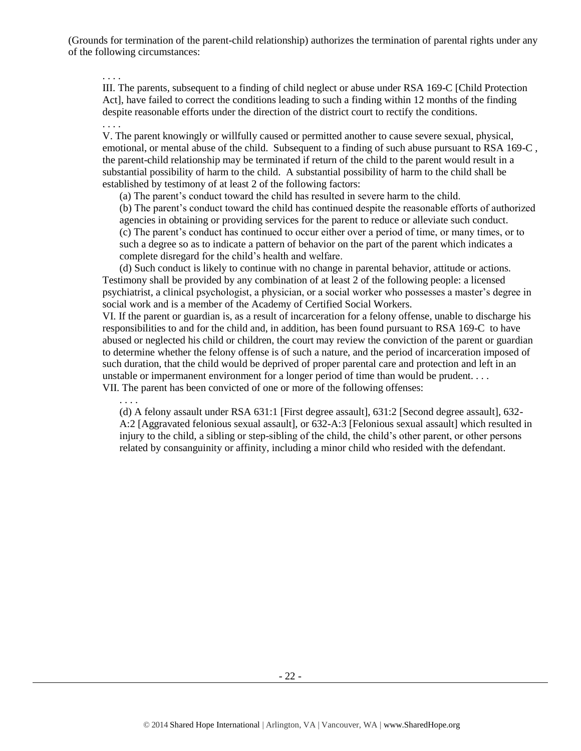(Grounds for termination of the parent-child relationship) authorizes the termination of parental rights under any of the following circumstances:

. . . .

III. The parents, subsequent to a finding of child neglect or abuse under RSA 169-C [Child Protection Act], have failed to correct the conditions leading to such a finding within 12 months of the finding despite reasonable efforts under the direction of the district court to rectify the conditions.

. . . .

V. The parent knowingly or willfully caused or permitted another to cause severe sexual, physical, emotional, or mental abuse of the child. Subsequent to a finding of such abuse pursuant to RSA 169-C , the parent-child relationship may be terminated if return of the child to the parent would result in a substantial possibility of harm to the child. A substantial possibility of harm to the child shall be established by testimony of at least 2 of the following factors:

(a) The parent's conduct toward the child has resulted in severe harm to the child.

(b) The parent's conduct toward the child has continued despite the reasonable efforts of authorized agencies in obtaining or providing services for the parent to reduce or alleviate such conduct. (c) The parent's conduct has continued to occur either over a period of time, or many times, or to such a degree so as to indicate a pattern of behavior on the part of the parent which indicates a complete disregard for the child's health and welfare.

(d) Such conduct is likely to continue with no change in parental behavior, attitude or actions. Testimony shall be provided by any combination of at least 2 of the following people: a licensed psychiatrist, a clinical psychologist, a physician, or a social worker who possesses a master's degree in social work and is a member of the Academy of Certified Social Workers.

VI. If the parent or guardian is, as a result of incarceration for a felony offense, unable to discharge his responsibilities to and for the child and, in addition, has been found pursuant to RSA 169-C to have abused or neglected his child or children, the court may review the conviction of the parent or guardian to determine whether the felony offense is of such a nature, and the period of incarceration imposed of such duration, that the child would be deprived of proper parental care and protection and left in an unstable or impermanent environment for a longer period of time than would be prudent. . . . VII. The parent has been convicted of one or more of the following offenses:

. . . .

(d) A felony assault under RSA 631:1 [First degree assault], 631:2 [Second degree assault], 632- A:2 [Aggravated felonious sexual assault], or 632-A:3 [Felonious sexual assault] which resulted in injury to the child, a sibling or step-sibling of the child, the child's other parent, or other persons related by consanguinity or affinity, including a minor child who resided with the defendant.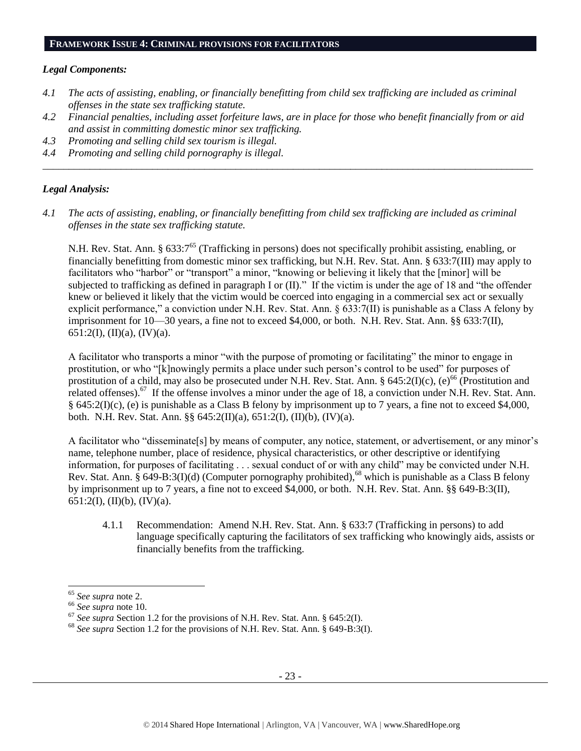#### **FRAMEWORK ISSUE 4: CRIMINAL PROVISIONS FOR FACILITATORS**

#### *Legal Components:*

- *4.1 The acts of assisting, enabling, or financially benefitting from child sex trafficking are included as criminal offenses in the state sex trafficking statute.*
- *4.2 Financial penalties, including asset forfeiture laws, are in place for those who benefit financially from or aid and assist in committing domestic minor sex trafficking.*

*\_\_\_\_\_\_\_\_\_\_\_\_\_\_\_\_\_\_\_\_\_\_\_\_\_\_\_\_\_\_\_\_\_\_\_\_\_\_\_\_\_\_\_\_\_\_\_\_\_\_\_\_\_\_\_\_\_\_\_\_\_\_\_\_\_\_\_\_\_\_\_\_\_\_\_\_\_\_\_\_\_\_\_\_\_\_\_\_\_\_\_\_\_\_*

- *4.3 Promoting and selling child sex tourism is illegal.*
- *4.4 Promoting and selling child pornography is illegal.*

#### *Legal Analysis:*

*4.1 The acts of assisting, enabling, or financially benefitting from child sex trafficking are included as criminal offenses in the state sex trafficking statute.*

N.H. Rev. Stat. Ann. § 633:7<sup>65</sup> (Trafficking in persons) does not specifically prohibit assisting, enabling, or financially benefitting from domestic minor sex trafficking, but N.H. Rev. Stat. Ann. § 633:7(III) may apply to facilitators who "harbor" or "transport" a minor, "knowing or believing it likely that the [minor] will be subjected to trafficking as defined in paragraph I or (II)." If the victim is under the age of 18 and "the offender knew or believed it likely that the victim would be coerced into engaging in a commercial sex act or sexually explicit performance," a conviction under N.H. Rev. Stat. Ann. § 633:7(II) is punishable as a Class A felony by imprisonment for 10—30 years, a fine not to exceed \$4,000, or both. N.H. Rev. Stat. Ann. §§ 633:7(II), 651:2(I), (II)(a), (IV)(a).

A facilitator who transports a minor "with the purpose of promoting or facilitating" the minor to engage in prostitution, or who "[k]nowingly permits a place under such person's control to be used" for purposes of prostitution of a child, may also be prosecuted under N.H. Rev. Stat. Ann. § 645:2(I)(c), (e)<sup>66</sup> (Prostitution and related offenses).<sup>67</sup> If the offense involves a minor under the age of 18, a conviction under N.H. Rev. Stat. Ann. § 645:2(I)(c), (e) is punishable as a Class B felony by imprisonment up to 7 years, a fine not to exceed \$4,000, both. N.H. Rev. Stat. Ann. §§ 645:2(II)(a), 651:2(I), (II)(b), (IV)(a).

A facilitator who "disseminate[s] by means of computer, any notice, statement, or advertisement, or any minor's name, telephone number, place of residence, physical characteristics, or other descriptive or identifying information, for purposes of facilitating . . . sexual conduct of or with any child" may be convicted under N.H. Rev. Stat. Ann.  $\hat{\S}$  649-B:3(I)(d) (Computer pornography prohibited),<sup>68</sup> which is punishable as a Class B felony by imprisonment up to 7 years, a fine not to exceed \$4,000, or both. N.H. Rev. Stat. Ann. §§ 649-B:3(II), 651:2(I), (II)(b), (IV)(a).

4.1.1 Recommendation: Amend N.H. Rev. Stat. Ann. § 633:7 (Trafficking in persons) to add language specifically capturing the facilitators of sex trafficking who knowingly aids, assists or financially benefits from the trafficking.

 $\overline{a}$ 

<sup>65</sup> *See supra* note [2.](#page-0-0)

<sup>66</sup> *See supra* note [10.](#page-4-0)

<sup>67</sup> *See supra* Section 1.2 for the provisions of N.H. Rev. Stat. Ann. § 645:2(I).

<sup>68</sup> *See supra* Section 1.2 for the provisions of N.H. Rev. Stat. Ann. § 649-B:3(I).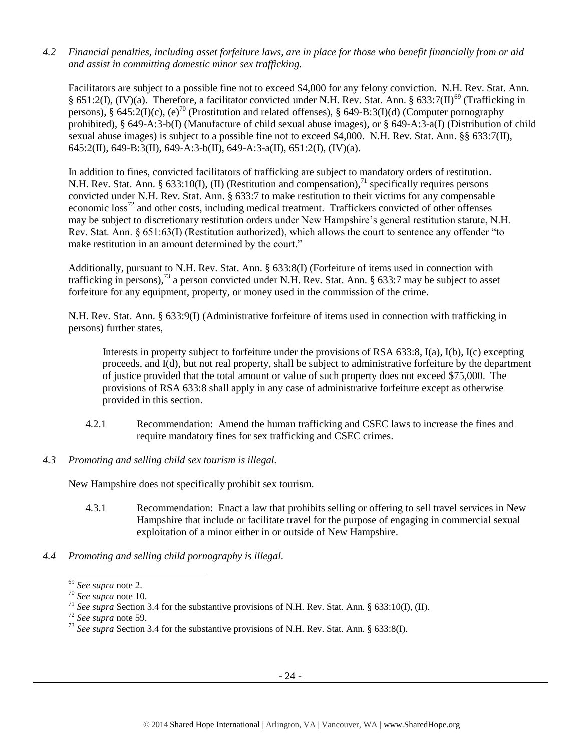*4.2 Financial penalties, including asset forfeiture laws, are in place for those who benefit financially from or aid and assist in committing domestic minor sex trafficking.*

Facilitators are subject to a possible fine not to exceed \$4,000 for any felony conviction. N.H. Rev. Stat. Ann. § 651:2(I), (IV)(a). Therefore, a facilitator convicted under N.H. Rev. Stat. Ann. § 633:7(II)<sup>69</sup> (Trafficking in persons), § 645:2(I)(c), (e)<sup>70</sup> (Prostitution and related offenses), § 649-B:3(I)(d) (Computer pornography prohibited), § 649-A:3-b(I) (Manufacture of child sexual abuse images), or § 649-A:3-a(I) (Distribution of child sexual abuse images) is subject to a possible fine not to exceed \$4,000. N.H. Rev. Stat. Ann. §§ 633:7(II), 645:2(II), 649-B:3(II), 649-A:3-b(II), 649-A:3-a(II), 651:2(I), (IV)(a).

In addition to fines, convicted facilitators of trafficking are subject to mandatory orders of restitution. N.H. Rev. Stat. Ann. § 633:10(I), (II) (Restitution and compensation),<sup>71</sup> specifically requires persons convicted under N.H. Rev. Stat. Ann. § 633:7 to make restitution to their victims for any compensable economic loss<sup>72</sup> and other costs, including medical treatment. Traffickers convicted of other offenses may be subject to discretionary restitution orders under New Hampshire's general restitution statute, N.H. Rev. Stat. Ann. § 651:63(I) (Restitution authorized), which allows the court to sentence any offender "to make restitution in an amount determined by the court."

Additionally, pursuant to N.H. Rev. Stat. Ann. § 633:8(I) (Forfeiture of items used in connection with trafficking in persons),<sup>73</sup> a person convicted under N.H. Rev. Stat. Ann. § 633:7 may be subject to asset forfeiture for any equipment, property, or money used in the commission of the crime.

N.H. Rev. Stat. Ann. § 633:9(I) (Administrative forfeiture of items used in connection with trafficking in persons) further states,

Interests in property subject to forfeiture under the provisions of RSA 633:8, I(a), I(b), I(c) excepting proceeds, and I(d), but not real property, shall be subject to administrative forfeiture by the department of justice provided that the total amount or value of such property does not exceed \$75,000. The provisions of RSA 633:8 shall apply in any case of administrative forfeiture except as otherwise provided in this section.

- 4.2.1 Recommendation: Amend the human trafficking and CSEC laws to increase the fines and require mandatory fines for sex trafficking and CSEC crimes.
- *4.3 Promoting and selling child sex tourism is illegal.*

New Hampshire does not specifically prohibit sex tourism.

- 4.3.1 Recommendation: Enact a law that prohibits selling or offering to sell travel services in New Hampshire that include or facilitate travel for the purpose of engaging in commercial sexual exploitation of a minor either in or outside of New Hampshire.
- *4.4 Promoting and selling child pornography is illegal.*

 $\overline{\phantom{a}}$ 

<sup>69</sup> *See supra* note [2.](#page-0-0)

<sup>70</sup> *See supra* note [10.](#page-4-0)

<sup>71</sup> *See supra* Section 3.4 for the substantive provisions of N.H. Rev. Stat. Ann. § 633:10(I), (II).

<sup>72</sup> *See supra* note [59.](#page-18-0) 

<sup>73</sup> *See supra* Section 3.4 for the substantive provisions of N.H. Rev. Stat. Ann. § 633:8(I).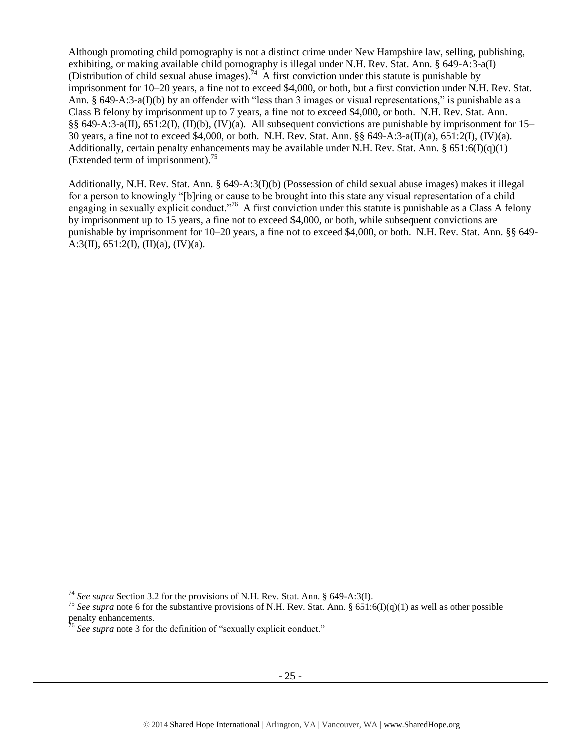Although promoting child pornography is not a distinct crime under New Hampshire law, selling, publishing, exhibiting, or making available child pornography is illegal under N.H. Rev. Stat. Ann. § 649-A:3-a(I) (Distribution of child sexual abuse images).<sup>74</sup> A first conviction under this statute is punishable by imprisonment for 10–20 years, a fine not to exceed \$4,000, or both, but a first conviction under N.H. Rev. Stat. Ann. § 649-A:3-a(I)(b) by an offender with "less than 3 images or visual representations," is punishable as a Class B felony by imprisonment up to 7 years, a fine not to exceed \$4,000, or both. N.H. Rev. Stat. Ann. §§ 649-A:3-a(II), 651:2(I), (II)(b), (IV)(a). All subsequent convictions are punishable by imprisonment for 15– 30 years, a fine not to exceed \$4,000, or both. N.H. Rev. Stat. Ann. §§ 649-A:3-a(II)(a), 651:2(I), (IV)(a). Additionally, certain penalty enhancements may be available under N.H. Rev. Stat. Ann.  $\S 651:6(D(a)(1))$ (Extended term of imprisonment). $^{75}$ 

Additionally, N.H. Rev. Stat. Ann. § 649-A:3(I)(b) (Possession of child sexual abuse images) makes it illegal for a person to knowingly "[b]ring or cause to be brought into this state any visual representation of a child engaging in sexually explicit conduct."<sup>76</sup> A first conviction under this statute is punishable as a Class A felony by imprisonment up to 15 years, a fine not to exceed \$4,000, or both, while subsequent convictions are punishable by imprisonment for 10–20 years, a fine not to exceed \$4,000, or both. N.H. Rev. Stat. Ann. §§ 649- A:3(II),  $651:2(I)$ ,  $(II)(a)$ ,  $(IV)(a)$ .

 $\overline{a}$ 

<sup>74</sup> *See supra* Section 3.2 for the provisions of N.H. Rev. Stat. Ann. § 649-A:3(I).

<sup>&</sup>lt;sup>75</sup> See supra note [6](#page-2-1) for the substantive provisions of N.H. Rev. Stat. Ann. § 651:6(I)(q)(1) as well as other possible penalty enhancements.

<sup>&</sup>lt;sup>76</sup> See supra note [3](#page-1-0) for the definition of "sexually explicit conduct."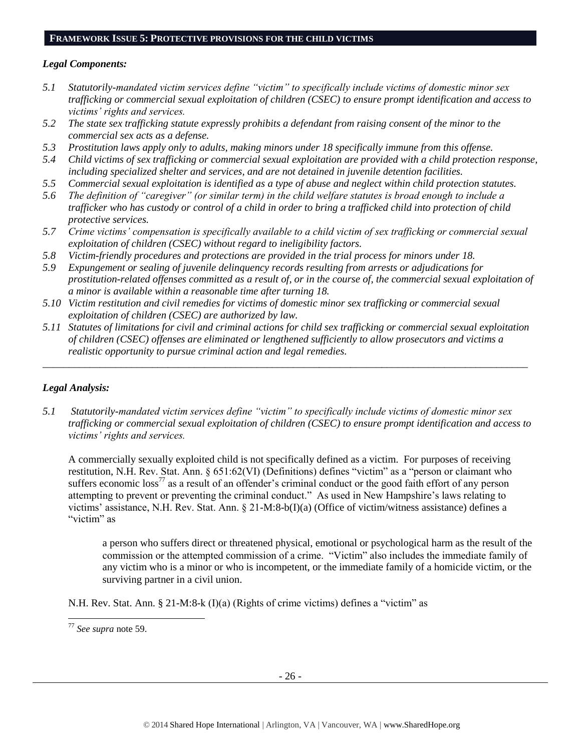#### **FRAMEWORK ISSUE 5: PROTECTIVE PROVISIONS FOR THE CHILD VICTIMS**

#### *Legal Components:*

- *5.1 Statutorily-mandated victim services define "victim" to specifically include victims of domestic minor sex trafficking or commercial sexual exploitation of children (CSEC) to ensure prompt identification and access to victims' rights and services.*
- *5.2 The state sex trafficking statute expressly prohibits a defendant from raising consent of the minor to the commercial sex acts as a defense.*
- *5.3 Prostitution laws apply only to adults, making minors under 18 specifically immune from this offense.*
- *5.4 Child victims of sex trafficking or commercial sexual exploitation are provided with a child protection response, including specialized shelter and services, and are not detained in juvenile detention facilities.*
- *5.5 Commercial sexual exploitation is identified as a type of abuse and neglect within child protection statutes.*
- *5.6 The definition of "caregiver" (or similar term) in the child welfare statutes is broad enough to include a trafficker who has custody or control of a child in order to bring a trafficked child into protection of child protective services.*
- *5.7 Crime victims' compensation is specifically available to a child victim of sex trafficking or commercial sexual exploitation of children (CSEC) without regard to ineligibility factors.*
- *5.8 Victim-friendly procedures and protections are provided in the trial process for minors under 18.*
- *5.9 Expungement or sealing of juvenile delinquency records resulting from arrests or adjudications for prostitution-related offenses committed as a result of, or in the course of, the commercial sexual exploitation of a minor is available within a reasonable time after turning 18.*
- *5.10 Victim restitution and civil remedies for victims of domestic minor sex trafficking or commercial sexual exploitation of children (CSEC) are authorized by law.*
- *5.11 Statutes of limitations for civil and criminal actions for child sex trafficking or commercial sexual exploitation of children (CSEC) offenses are eliminated or lengthened sufficiently to allow prosecutors and victims a realistic opportunity to pursue criminal action and legal remedies.*

*\_\_\_\_\_\_\_\_\_\_\_\_\_\_\_\_\_\_\_\_\_\_\_\_\_\_\_\_\_\_\_\_\_\_\_\_\_\_\_\_\_\_\_\_\_\_\_\_\_\_\_\_\_\_\_\_\_\_\_\_\_\_\_\_\_\_\_\_\_\_\_\_\_\_\_\_\_\_\_\_\_\_\_\_\_\_\_\_\_\_\_\_\_*

## *Legal Analysis:*

*5.1 Statutorily-mandated victim services define "victim" to specifically include victims of domestic minor sex trafficking or commercial sexual exploitation of children (CSEC) to ensure prompt identification and access to victims' rights and services.* 

A commercially sexually exploited child is not specifically defined as a victim. For purposes of receiving restitution, N.H. Rev. Stat. Ann. § 651:62(VI) (Definitions) defines "victim" as a "person or claimant who suffers economic  $\cos^{77}$  as a result of an offender's criminal conduct or the good faith effort of any person attempting to prevent or preventing the criminal conduct." As used in New Hampshire's laws relating to victims' assistance, N.H. Rev. Stat. Ann. § 21-M:8-b(I)(a) (Office of victim/witness assistance) defines a "victim" as

a person who suffers direct or threatened physical, emotional or psychological harm as the result of the commission or the attempted commission of a crime. "Victim" also includes the immediate family of any victim who is a minor or who is incompetent, or the immediate family of a homicide victim, or the surviving partner in a civil union.

N.H. Rev. Stat. Ann. § 21-M:8-k (I)(a) (Rights of crime victims) defines a "victim" as

l

<sup>77</sup> *See supra* note [59.](#page-18-0)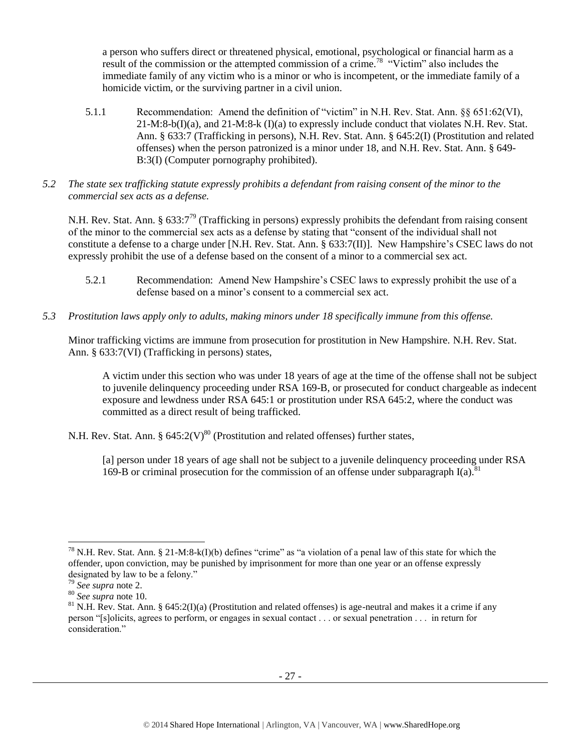a person who suffers direct or threatened physical, emotional, psychological or financial harm as a result of the commission or the attempted commission of a crime.<sup>78</sup> "Victim" also includes the immediate family of any victim who is a minor or who is incompetent, or the immediate family of a homicide victim, or the surviving partner in a civil union.

- 5.1.1 Recommendation: Amend the definition of "victim" in N.H. Rev. Stat. Ann. §§ 651:62(VI),  $21-M:8-b(1)(a)$ , and  $21-M:8-k(1)(a)$  to expressly include conduct that violates N.H. Rev. Stat. Ann. § 633:7 (Trafficking in persons), N.H. Rev. Stat. Ann. § 645:2(I) (Prostitution and related offenses) when the person patronized is a minor under 18, and N.H. Rev. Stat. Ann. § 649- B:3(I) (Computer pornography prohibited).
- *5.2 The state sex trafficking statute expressly prohibits a defendant from raising consent of the minor to the commercial sex acts as a defense.*

N.H. Rev. Stat. Ann. § 633:7<sup>79</sup> (Trafficking in persons) expressly prohibits the defendant from raising consent of the minor to the commercial sex acts as a defense by stating that "consent of the individual shall not constitute a defense to a charge under [N.H. Rev. Stat. Ann. § 633:7(II)]. New Hampshire's CSEC laws do not expressly prohibit the use of a defense based on the consent of a minor to a commercial sex act.

- 5.2.1 Recommendation: Amend New Hampshire's CSEC laws to expressly prohibit the use of a defense based on a minor's consent to a commercial sex act.
- *5.3 Prostitution laws apply only to adults, making minors under 18 specifically immune from this offense.*

Minor trafficking victims are immune from prosecution for prostitution in New Hampshire. N.H. Rev. Stat. Ann. § 633:7(VI) (Trafficking in persons) states,

A victim under this section who was under 18 years of age at the time of the offense shall not be subject to juvenile delinquency proceeding under RSA 169-B, or prosecuted for conduct chargeable as indecent exposure and lewdness under RSA 645:1 or prostitution under RSA 645:2, where the conduct was committed as a direct result of being trafficked.

N.H. Rev. Stat. Ann. §  $645:2(V)^{80}$  (Prostitution and related offenses) further states,

[a] person under 18 years of age shall not be subject to a juvenile delinquency proceeding under RSA 169-B or criminal prosecution for the commission of an offense under subparagraph  $I(a)$ .<sup>8</sup>

 $\overline{\phantom{a}}$ <sup>78</sup> N.H. Rev. Stat. Ann. § 21-M:8-k(I)(b) defines "crime" as "a violation of a penal law of this state for which the offender, upon conviction, may be punished by imprisonment for more than one year or an offense expressly designated by law to be a felony."

<sup>79</sup> *See supra* note [2.](#page-0-0)

<sup>80</sup> *See supra* note [10.](#page-4-0)

<sup>&</sup>lt;sup>81</sup> N.H. Rev. Stat. Ann. § 645:2(I)(a) (Prostitution and related offenses) is age-neutral and makes it a crime if any person "[s]olicits, agrees to perform, or engages in sexual contact . . . or sexual penetration . . . in return for consideration."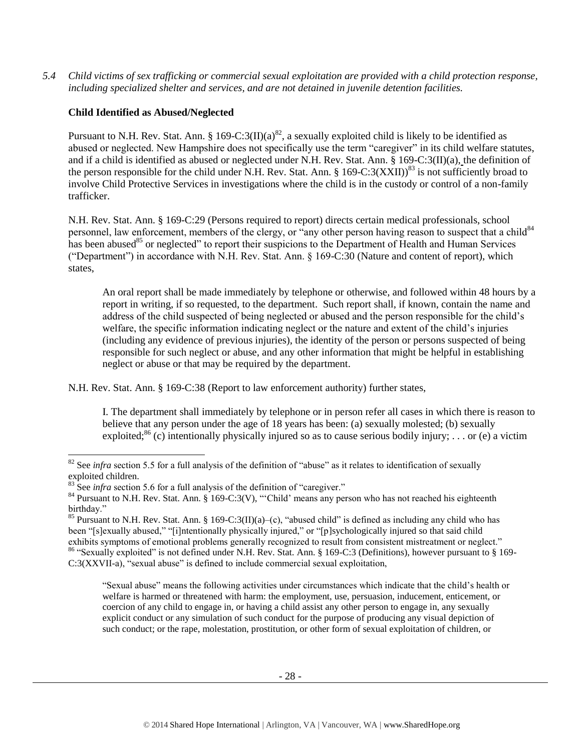*5.4 Child victims of sex trafficking or commercial sexual exploitation are provided with a child protection response, including specialized shelter and services, and are not detained in juvenile detention facilities.*

# **Child Identified as Abused/Neglected**

Pursuant to N.H. Rev. Stat. Ann. § 169-C:3(II)(a)<sup>82</sup>, a sexually exploited child is likely to be identified as abused or neglected. New Hampshire does not specifically use the term "caregiver" in its child welfare statutes, and if a child is identified as abused or neglected under N.H. Rev. Stat. Ann. § 169-C:3(II)(a), the definition of the person responsible for the child under N.H. Rev. Stat. Ann. § 169-C:3(XXII))<sup>83</sup> is not sufficiently broad to involve Child Protective Services in investigations where the child is in the custody or control of a non-family trafficker.

N.H. Rev. Stat. Ann. § 169-C:29 (Persons required to report) directs certain medical professionals, school personnel, law enforcement, members of the clergy, or "any other person having reason to suspect that a child<sup>84</sup> has been abused<sup>85</sup> or neglected" to report their suspicions to the Department of Health and Human Services ("Department") in accordance with N.H. Rev. Stat. Ann. § 169-C:30 (Nature and content of report), which states,

An oral report shall be made immediately by telephone or otherwise, and followed within 48 hours by a report in writing, if so requested, to the department. Such report shall, if known, contain the name and address of the child suspected of being neglected or abused and the person responsible for the child's welfare, the specific information indicating neglect or the nature and extent of the child's injuries (including any evidence of previous injuries), the identity of the person or persons suspected of being responsible for such neglect or abuse, and any other information that might be helpful in establishing neglect or abuse or that may be required by the department.

N.H. Rev. Stat. Ann. § 169-C:38 (Report to law enforcement authority) further states,

I. The department shall immediately by telephone or in person refer all cases in which there is reason to believe that any person under the age of 18 years has been: (a) sexually molested; (b) sexually exploited;<sup>86</sup> (c) intentionally physically injured so as to cause serious bodily injury; ... or (e) a victim

 $\overline{a}$ 

"Sexual abuse" means the following activities under circumstances which indicate that the child's health or welfare is harmed or threatened with harm: the employment, use, persuasion, inducement, enticement, or coercion of any child to engage in, or having a child assist any other person to engage in, any sexually explicit conduct or any simulation of such conduct for the purpose of producing any visual depiction of such conduct; or the rape, molestation, prostitution, or other form of sexual exploitation of children, or

 $82$  See *infra* section 5.5 for a full analysis of the definition of "abuse" as it relates to identification of sexually exploited children.

 $83$  See *infra* section 5.6 for a full analysis of the definition of "caregiver."

<sup>&</sup>lt;sup>84</sup> Pursuant to N.H. Rev. Stat. Ann. § 169-C:3(V), "'Child' means any person who has not reached his eighteenth birthday."

<sup>&</sup>lt;sup>85</sup> Pursuant to N.H. Rev. Stat. Ann. § 169-C:3(II)(a)–(c), "abused child" is defined as including any child who has been "[s]exually abused," "[i]ntentionally physically injured," or "[p]sychologically injured so that said child exhibits symptoms of emotional problems generally recognized to result from consistent mistreatment or neglect." <sup>86</sup> "Sexually exploited" is not defined under N.H. Rev. Stat. Ann. § 169-C:3 (Definitions), however pursuant to § 169- C:3(XXVII-a), "sexual abuse" is defined to include commercial sexual exploitation,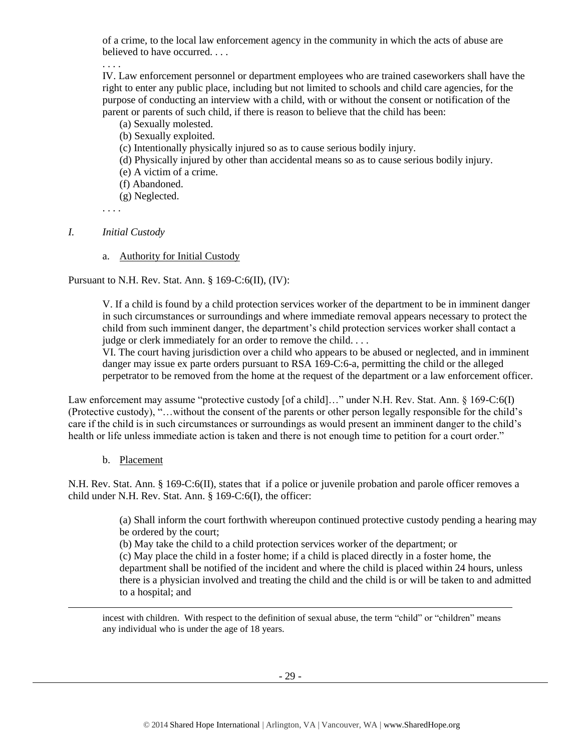of a crime, to the local law enforcement agency in the community in which the acts of abuse are believed to have occurred. . . .

. . . .

IV. Law enforcement personnel or department employees who are trained caseworkers shall have the right to enter any public place, including but not limited to schools and child care agencies, for the purpose of conducting an interview with a child, with or without the consent or notification of the parent or parents of such child, if there is reason to believe that the child has been:

- (a) Sexually molested.
- (b) Sexually exploited.
- (c) Intentionally physically injured so as to cause serious bodily injury.
- (d) Physically injured by other than accidental means so as to cause serious bodily injury.
- (e) A victim of a crime.
- (f) Abandoned.
- (g) Neglected.

. . . .

## *I. Initial Custody*

a. Authority for Initial Custody

Pursuant to N.H. Rev. Stat. Ann. § 169-C:6(II), (IV):

V. If a child is found by a child protection services worker of the department to be in imminent danger in such circumstances or surroundings and where immediate removal appears necessary to protect the child from such imminent danger, the department's child protection services worker shall contact a judge or clerk immediately for an order to remove the child. . . .

VI. The court having jurisdiction over a child who appears to be abused or neglected, and in imminent danger may issue ex parte orders pursuant to RSA 169-C:6-a, permitting the child or the alleged perpetrator to be removed from the home at the request of the department or a law enforcement officer.

Law enforcement may assume "protective custody [of a child]…" under N.H. Rev. Stat. Ann. § 169-C:6(I) (Protective custody), "…without the consent of the parents or other person legally responsible for the child's care if the child is in such circumstances or surroundings as would present an imminent danger to the child's health or life unless immediate action is taken and there is not enough time to petition for a court order."

## b. Placement

 $\overline{\phantom{a}}$ 

N.H. Rev. Stat. Ann. § 169-C:6(II), states that if a police or juvenile probation and parole officer removes a child under N.H. Rev. Stat. Ann. § 169-C:6(I), the officer:

> (a) Shall inform the court forthwith whereupon continued protective custody pending a hearing may be ordered by the court;

(b) May take the child to a child protection services worker of the department; or

(c) May place the child in a foster home; if a child is placed directly in a foster home, the department shall be notified of the incident and where the child is placed within 24 hours, unless there is a physician involved and treating the child and the child is or will be taken to and admitted to a hospital; and

incest with children. With respect to the definition of sexual abuse, the term "child" or "children" means any individual who is under the age of 18 years.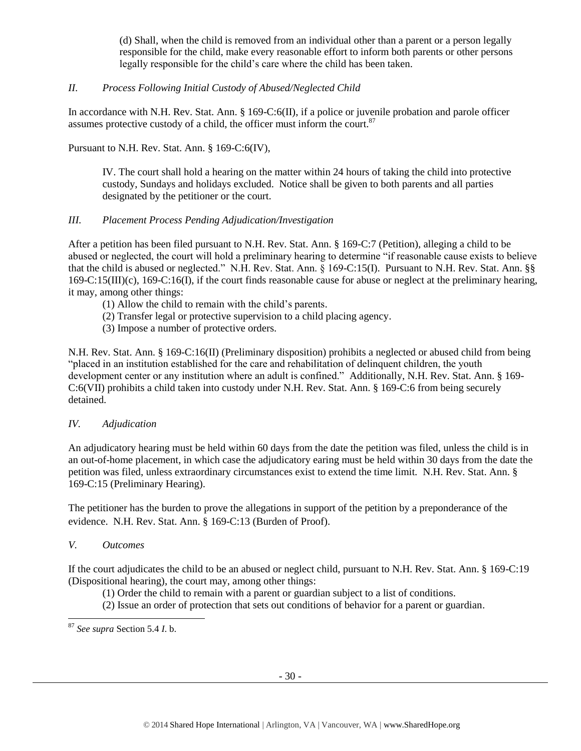(d) Shall, when the child is removed from an individual other than a parent or a person legally responsible for the child, make every reasonable effort to inform both parents or other persons legally responsible for the child's care where the child has been taken.

# *II. Process Following Initial Custody of Abused/Neglected Child*

In accordance with N.H. Rev. Stat. Ann. § 169-C:6(II), if a police or juvenile probation and parole officer assumes protective custody of a child, the officer must inform the court. $87$ 

Pursuant to N.H. Rev. Stat. Ann. § 169-C:6(IV),

IV. The court shall hold a hearing on the matter within 24 hours of taking the child into protective custody, Sundays and holidays excluded. Notice shall be given to both parents and all parties designated by the petitioner or the court.

# *III. Placement Process Pending Adjudication/Investigation*

After a petition has been filed pursuant to N.H. Rev. Stat. Ann. § 169-C:7 (Petition), alleging a child to be abused or neglected, the court will hold a preliminary hearing to determine "if reasonable cause exists to believe that the child is abused or neglected." N.H. Rev. Stat. Ann. § 169-C:15(I). Pursuant to N.H. Rev. Stat. Ann. §§ 169-C:15(III)(c), 169-C:16(I), if the court finds reasonable cause for abuse or neglect at the preliminary hearing, it may, among other things:

- (1) Allow the child to remain with the child's parents.
- (2) Transfer legal or protective supervision to a child placing agency.
- (3) Impose a number of protective orders.

N.H. Rev. Stat. Ann. § 169-C:16(II) (Preliminary disposition) prohibits a neglected or abused child from being "placed in an institution established for the care and rehabilitation of delinquent children, the youth development center or any institution where an adult is confined." Additionally, N.H. Rev. Stat. Ann. § 169- C:6(VII) prohibits a child taken into custody under N.H. Rev. Stat. Ann. § 169-C:6 from being securely detained.

## *IV. Adjudication*

An adjudicatory hearing must be held within 60 days from the date the petition was filed, unless the child is in an out-of-home placement, in which case the adjudicatory earing must be held within 30 days from the date the petition was filed, unless extraordinary circumstances exist to extend the time limit. N.H. Rev. Stat. Ann. § 169-C:15 (Preliminary Hearing).

The petitioner has the burden to prove the allegations in support of the petition by a preponderance of the evidence. N.H. Rev. Stat. Ann. § 169-C:13 (Burden of Proof).

## *V. Outcomes*

l

If the court adjudicates the child to be an abused or neglect child, pursuant to N.H. Rev. Stat. Ann. § 169-C:19 (Dispositional hearing), the court may, among other things:

(1) Order the child to remain with a parent or guardian subject to a list of conditions.

(2) Issue an order of protection that sets out conditions of behavior for a parent or guardian.

<sup>87</sup> *See supra* Section 5.4 *I*. b.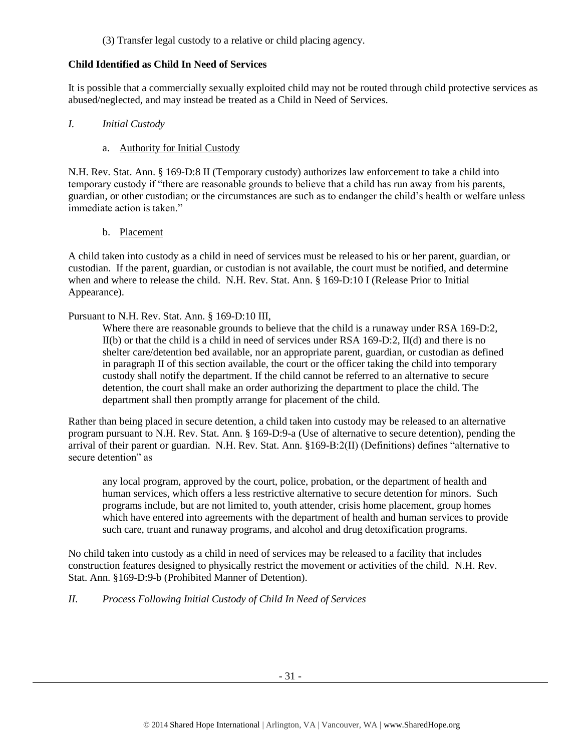(3) Transfer legal custody to a relative or child placing agency.

# **Child Identified as Child In Need of Services**

It is possible that a commercially sexually exploited child may not be routed through child protective services as abused/neglected, and may instead be treated as a Child in Need of Services.

# *I. Initial Custody*

a. Authority for Initial Custody

N.H. Rev. Stat. Ann. § 169-D:8 II (Temporary custody) authorizes law enforcement to take a child into temporary custody if "there are reasonable grounds to believe that a child has run away from his parents, guardian, or other custodian; or the circumstances are such as to endanger the child's health or welfare unless immediate action is taken."

b. Placement

A child taken into custody as a child in need of services must be released to his or her parent, guardian, or custodian. If the parent, guardian, or custodian is not available, the court must be notified, and determine when and where to release the child. N.H. Rev. Stat. Ann. § 169-D:10 I (Release Prior to Initial Appearance).

# Pursuant to N.H. Rev. Stat. Ann. § 169-D:10 III,

Where there are reasonable grounds to believe that the child is a runaway under RSA 169-D:2, II(b) or that the child is a child in need of services under RSA 169-D:2, II(d) and there is no shelter care/detention bed available, nor an appropriate parent, guardian, or custodian as defined in paragraph II of this section available, the court or the officer taking the child into temporary custody shall notify the department. If the child cannot be referred to an alternative to secure detention, the court shall make an order authorizing the department to place the child. The department shall then promptly arrange for placement of the child.

Rather than being placed in secure detention, a child taken into custody may be released to an alternative program pursuant to N.H. Rev. Stat. Ann. § 169-D:9-a (Use of alternative to secure detention), pending the arrival of their parent or guardian. N.H. Rev. Stat. Ann. §169-B:2(II) (Definitions) defines "alternative to secure detention" as

any local program, approved by the court, police, probation, or the department of health and human services, which offers a less restrictive alternative to secure detention for minors. Such programs include, but are not limited to, youth attender, crisis home placement, group homes which have entered into agreements with the department of health and human services to provide such care, truant and runaway programs, and alcohol and drug detoxification programs.

No child taken into custody as a child in need of services may be released to a facility that includes construction features designed to physically restrict the movement or activities of the child. N.H. Rev. Stat. Ann. §169-D:9-b (Prohibited Manner of Detention).

# *II. Process Following Initial Custody of Child In Need of Services*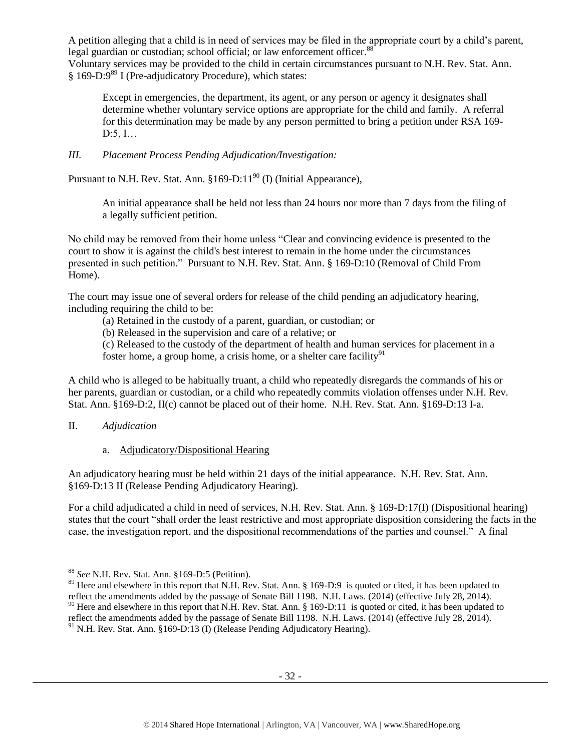A petition alleging that a child is in need of services may be filed in the appropriate court by a child's parent, legal guardian or custodian; school official; or law enforcement officer.<sup>88</sup>

Voluntary services may be provided to the child in certain circumstances pursuant to N.H. Rev. Stat. Ann.  $§$  169-D:9<sup>89</sup> I (Pre-adjudicatory Procedure), which states:

Except in emergencies, the department, its agent, or any person or agency it designates shall determine whether voluntary service options are appropriate for the child and family. A referral for this determination may be made by any person permitted to bring a petition under RSA 169- D:5, I…

# *III. Placement Process Pending Adjudication/Investigation:*

Pursuant to N.H. Rev. Stat. Ann.  $§169-D:11^{90}$  (I) (Initial Appearance),

An initial appearance shall be held not less than 24 hours nor more than 7 days from the filing of a legally sufficient petition.

No child may be removed from their home unless "Clear and convincing evidence is presented to the court to show it is against the child's best interest to remain in the home under the circumstances presented in such petition." Pursuant to N.H. Rev. Stat. Ann. § 169-D:10 (Removal of Child From Home).

The court may issue one of several orders for release of the child pending an adjudicatory hearing, including requiring the child to be:

(a) Retained in the custody of a parent, guardian, or custodian; or

(b) Released in the supervision and care of a relative; or

(c) Released to the custody of the department of health and human services for placement in a foster home, a group home, a crisis home, or a shelter care facility $91$ 

A child who is alleged to be habitually truant, a child who repeatedly disregards the commands of his or her parents, guardian or custodian, or a child who repeatedly commits violation offenses under N.H. Rev. Stat. Ann. §169-D:2, II(c) cannot be placed out of their home. N.H. Rev. Stat. Ann. §169-D:13 I-a.

## II. *Adjudication*

l

a. Adjudicatory/Dispositional Hearing

An adjudicatory hearing must be held within 21 days of the initial appearance. N.H. Rev. Stat. Ann. §169-D:13 II (Release Pending Adjudicatory Hearing).

For a child adjudicated a child in need of services, N.H. Rev. Stat. Ann. § 169-D:17(I) (Dispositional hearing) states that the court "shall order the least restrictive and most appropriate disposition considering the facts in the case, the investigation report, and the dispositional recommendations of the parties and counsel." A final

<sup>88</sup> *See* N.H. Rev. Stat. Ann. §169-D:5 (Petition).

<sup>&</sup>lt;sup>89</sup> Here and elsewhere in this report that N.H. Rev. Stat. Ann. § 169-D:9 is quoted or cited, it has been updated to reflect the amendments added by the passage of Senate Bill 1198. N.H. Laws. (2014) (effective July 28, 2014). <sup>90</sup> Here and elsewhere in this report that N.H. Rev. Stat. Ann. § 169-D:11 is quoted or cited, it has been updated to reflect the amendments added by the passage of Senate Bill 1198. N.H. Laws. (2014) (effective July 28, 2014).

 $91$  N.H. Rev. Stat. Ann. §169-D:13 (I) (Release Pending Adjudicatory Hearing).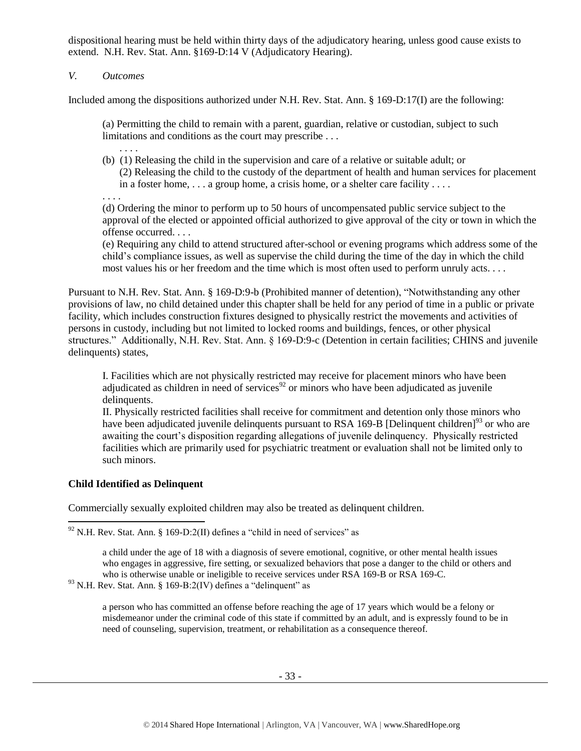dispositional hearing must be held within thirty days of the adjudicatory hearing, unless good cause exists to extend. N.H. Rev. Stat. Ann. §169-D:14 V (Adjudicatory Hearing).

# *V. Outcomes*

Included among the dispositions authorized under N.H. Rev. Stat. Ann. § 169-D:17(I) are the following:

(a) Permitting the child to remain with a parent, guardian, relative or custodian, subject to such limitations and conditions as the court may prescribe . . .

(b) (1) Releasing the child in the supervision and care of a relative or suitable adult; or (2) Releasing the child to the custody of the department of health and human services for placement in a foster home, . . . a group home, a crisis home, or a shelter care facility . . . .

. . . .

. . . .

(d) Ordering the minor to perform up to 50 hours of uncompensated public service subject to the approval of the elected or appointed official authorized to give approval of the city or town in which the offense occurred. . . .

(e) Requiring any child to attend structured after-school or evening programs which address some of the child's compliance issues, as well as supervise the child during the time of the day in which the child most values his or her freedom and the time which is most often used to perform unruly acts. . . .

Pursuant to N.H. Rev. Stat. Ann. § 169-D:9-b (Prohibited manner of detention), "Notwithstanding any other provisions of law, no child detained under this chapter shall be held for any period of time in a public or private facility, which includes construction fixtures designed to physically restrict the movements and activities of persons in custody, including but not limited to locked rooms and buildings, fences, or other physical structures." Additionally, N.H. Rev. Stat. Ann. § 169-D:9-c (Detention in certain facilities; CHINS and juvenile delinquents) states,

I. Facilities which are not physically restricted may receive for placement minors who have been adjudicated as children in need of services<sup>92</sup> or minors who have been adjudicated as juvenile delinquents.

II. Physically restricted facilities shall receive for commitment and detention only those minors who have been adjudicated juvenile delinquents pursuant to RSA 169-B [Delinquent children]<sup>93</sup> or who are awaiting the court's disposition regarding allegations of juvenile delinquency. Physically restricted facilities which are primarily used for psychiatric treatment or evaluation shall not be limited only to such minors.

## **Child Identified as Delinquent**

l

Commercially sexually exploited children may also be treated as delinquent children.

 $92$  N.H. Rev. Stat. Ann. § 169-D:2(II) defines a "child in need of services" as

a child under the age of 18 with a diagnosis of severe emotional, cognitive, or other mental health issues who engages in aggressive, fire setting, or sexualized behaviors that pose a danger to the child or others and who is otherwise unable or ineligible to receive services under RSA 169-B or RSA 169-C.

 $93$  N.H. Rev. Stat. Ann. § 169-B:2(IV) defines a "delinquent" as

a person who has committed an offense before reaching the age of 17 years which would be a felony or misdemeanor under the criminal code of this state if committed by an adult, and is expressly found to be in need of counseling, supervision, treatment, or rehabilitation as a consequence thereof.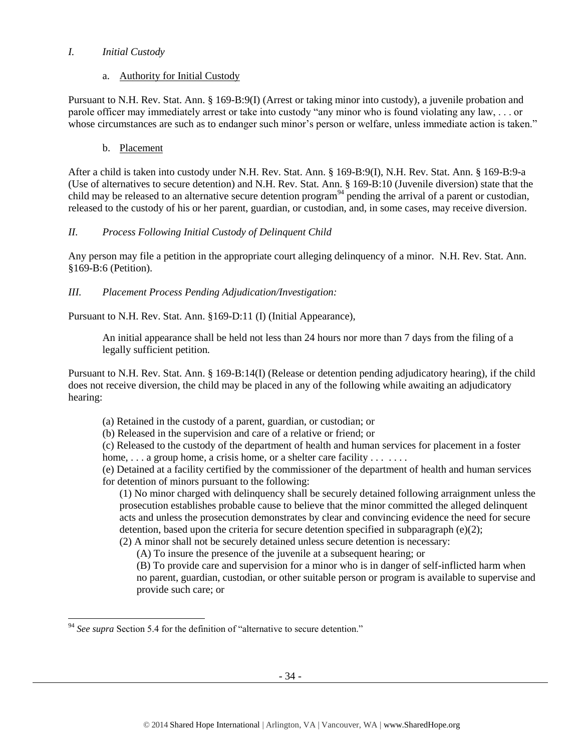# *I. Initial Custody*

# a. Authority for Initial Custody

Pursuant to N.H. Rev. Stat. Ann. § 169-B:9(I) (Arrest or taking minor into custody), a juvenile probation and parole officer may immediately arrest or take into custody "any minor who is found violating any law, . . . or whose circumstances are such as to endanger such minor's person or welfare, unless immediate action is taken."

# b. Placement

After a child is taken into custody under N.H. Rev. Stat. Ann. § 169-B:9(I), N.H. Rev. Stat. Ann. § 169-B:9-a (Use of alternatives to secure detention) and N.H. Rev. Stat. Ann. § 169-B:10 (Juvenile diversion) state that the child may be released to an alternative secure detention program<sup>94</sup> pending the arrival of a parent or custodian, released to the custody of his or her parent, guardian, or custodian, and, in some cases, may receive diversion.

# *II. Process Following Initial Custody of Delinquent Child*

Any person may file a petition in the appropriate court alleging delinquency of a minor. N.H. Rev. Stat. Ann. §169-B:6 (Petition).

# *III. Placement Process Pending Adjudication/Investigation:*

Pursuant to N.H. Rev. Stat. Ann. §169-D:11 (I) (Initial Appearance),

An initial appearance shall be held not less than 24 hours nor more than 7 days from the filing of a legally sufficient petition.

Pursuant to N.H. Rev. Stat. Ann. § 169-B:14(I) (Release or detention pending adjudicatory hearing), if the child does not receive diversion, the child may be placed in any of the following while awaiting an adjudicatory hearing:

(a) Retained in the custody of a parent, guardian, or custodian; or

(b) Released in the supervision and care of a relative or friend; or

(c) Released to the custody of the department of health and human services for placement in a foster home,  $\ldots$  a group home, a crisis home, or a shelter care facility  $\ldots \ldots$ 

(e) Detained at a facility certified by the commissioner of the department of health and human services for detention of minors pursuant to the following:

(1) No minor charged with delinquency shall be securely detained following arraignment unless the prosecution establishes probable cause to believe that the minor committed the alleged delinquent acts and unless the prosecution demonstrates by clear and convincing evidence the need for secure detention, based upon the criteria for secure detention specified in subparagraph  $(e)(2)$ ;

(2) A minor shall not be securely detained unless secure detention is necessary:

(A) To insure the presence of the juvenile at a subsequent hearing; or

(B) To provide care and supervision for a minor who is in danger of self-inflicted harm when no parent, guardian, custodian, or other suitable person or program is available to supervise and provide such care; or

l <sup>94</sup> See supra Section 5.4 for the definition of "alternative to secure detention."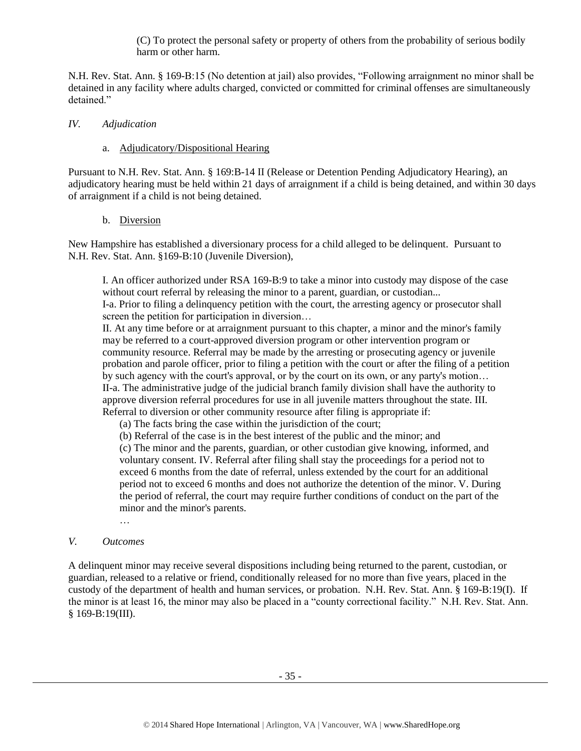(C) To protect the personal safety or property of others from the probability of serious bodily harm or other harm.

N.H. Rev. Stat. Ann. § 169-B:15 (No detention at jail) also provides, "Following arraignment no minor shall be detained in any facility where adults charged, convicted or committed for criminal offenses are simultaneously detained."

#### *IV. Adjudication*

## a. Adjudicatory/Dispositional Hearing

Pursuant to N.H. Rev. Stat. Ann. § 169:B-14 II (Release or Detention Pending Adjudicatory Hearing), an adjudicatory hearing must be held within 21 days of arraignment if a child is being detained, and within 30 days of arraignment if a child is not being detained.

## b. Diversion

New Hampshire has established a diversionary process for a child alleged to be delinquent. Pursuant to N.H. Rev. Stat. Ann. §169-B:10 (Juvenile Diversion),

I. An officer authorized under RSA 169-B:9 to take a minor into custody may dispose of the case without court referral by releasing the minor to a parent, guardian, or custodian...

I-a. Prior to filing a delinquency petition with the court, the arresting agency or prosecutor shall screen the petition for participation in diversion…

II. At any time before or at arraignment pursuant to this chapter, a minor and the minor's family may be referred to a court-approved diversion program or other intervention program or community resource. Referral may be made by the arresting or prosecuting agency or juvenile probation and parole officer, prior to filing a petition with the court or after the filing of a petition by such agency with the court's approval, or by the court on its own, or any party's motion… II-a. The administrative judge of the judicial branch family division shall have the authority to approve diversion referral procedures for use in all juvenile matters throughout the state. III. Referral to diversion or other community resource after filing is appropriate if:

(a) The facts bring the case within the jurisdiction of the court;

(b) Referral of the case is in the best interest of the public and the minor; and

(c) The minor and the parents, guardian, or other custodian give knowing, informed, and voluntary consent. IV. Referral after filing shall stay the proceedings for a period not to exceed 6 months from the date of referral, unless extended by the court for an additional period not to exceed 6 months and does not authorize the detention of the minor. V. During the period of referral, the court may require further conditions of conduct on the part of the minor and the minor's parents.

…

## *V. Outcomes*

A delinquent minor may receive several dispositions including being returned to the parent, custodian, or guardian, released to a relative or friend, conditionally released for no more than five years, placed in the custody of the department of health and human services, or probation. N.H. Rev. Stat. Ann. § 169-B:19(I). If the minor is at least 16, the minor may also be placed in a "county correctional facility." N.H. Rev. Stat. Ann. § 169-B:19(III).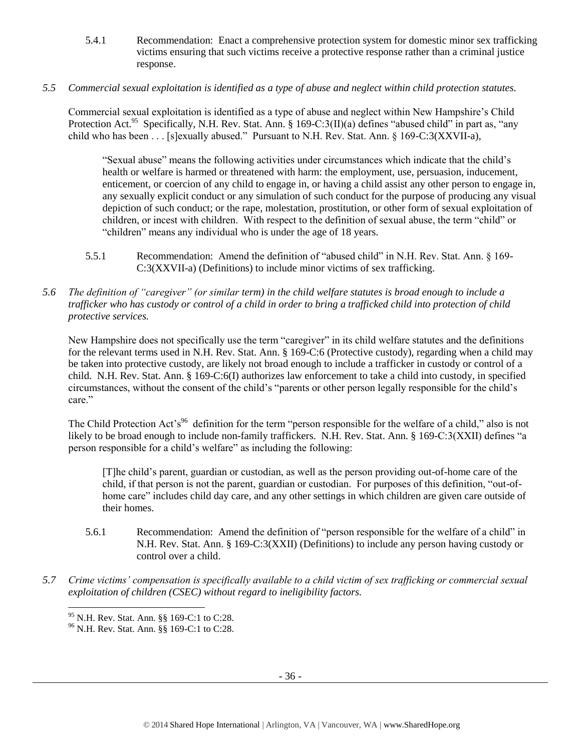- 5.4.1 Recommendation: Enact a comprehensive protection system for domestic minor sex trafficking victims ensuring that such victims receive a protective response rather than a criminal justice response.
- *5.5 Commercial sexual exploitation is identified as a type of abuse and neglect within child protection statutes.*

Commercial sexual exploitation is identified as a type of abuse and neglect within New Hampshire's Child Protection Act.<sup>95</sup> Specifically, N.H. Rev. Stat. Ann. § 169-C:3(II)(a) defines "abused child" in part as, "any child who has been . . . [s]exually abused." Pursuant to N.H. Rev. Stat. Ann. § 169-C:3(XXVII-a),

"Sexual abuse" means the following activities under circumstances which indicate that the child's health or welfare is harmed or threatened with harm: the employment, use, persuasion, inducement, enticement, or coercion of any child to engage in, or having a child assist any other person to engage in, any sexually explicit conduct or any simulation of such conduct for the purpose of producing any visual depiction of such conduct; or the rape, molestation, prostitution, or other form of sexual exploitation of children, or incest with children. With respect to the definition of sexual abuse, the term "child" or "children" means any individual who is under the age of 18 years.

- 5.5.1 Recommendation: Amend the definition of "abused child" in N.H. Rev. Stat. Ann. § 169- C:3(XXVII-a) (Definitions) to include minor victims of sex trafficking.
- *5.6 The definition of "caregiver" (or similar term) in the child welfare statutes is broad enough to include a trafficker who has custody or control of a child in order to bring a trafficked child into protection of child protective services.*

New Hampshire does not specifically use the term "caregiver" in its child welfare statutes and the definitions for the relevant terms used in N.H. Rev. Stat. Ann. § 169-C:6 (Protective custody), regarding when a child may be taken into protective custody, are likely not broad enough to include a trafficker in custody or control of a child. N.H. Rev. Stat. Ann. § 169-C:6(I) authorizes law enforcement to take a child into custody, in specified circumstances, without the consent of the child's "parents or other person legally responsible for the child's care."

The Child Protection Act's<sup>96</sup> definition for the term "person responsible for the welfare of a child," also is not likely to be broad enough to include non-family traffickers. N.H. Rev. Stat. Ann. § 169-C:3(XXII) defines "a person responsible for a child's welfare" as including the following:

[T]he child's parent, guardian or custodian, as well as the person providing out-of-home care of the child, if that person is not the parent, guardian or custodian. For purposes of this definition, "out-ofhome care" includes child day care, and any other settings in which children are given care outside of their homes.

- 5.6.1 Recommendation: Amend the definition of "person responsible for the welfare of a child" in N.H. Rev. Stat. Ann. § 169-C:3(XXII) (Definitions) to include any person having custody or control over a child.
- *5.7 Crime victims' compensation is specifically available to a child victim of sex trafficking or commercial sexual exploitation of children (CSEC) without regard to ineligibility factors.*

 $\overline{\phantom{a}}$ 

<sup>95</sup> N.H. Rev. Stat. Ann. §§ 169-C:1 to C:28.

<sup>96</sup> N.H. Rev. Stat. Ann. §§ 169-C:1 to C:28.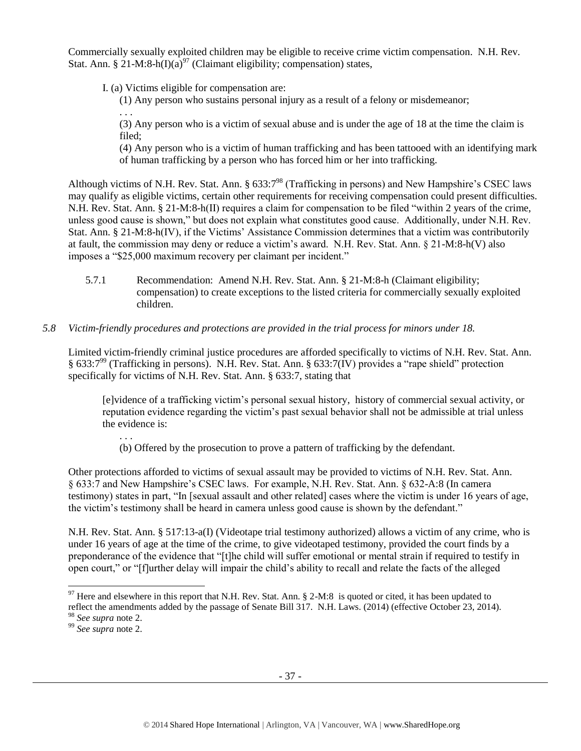Commercially sexually exploited children may be eligible to receive crime victim compensation. N.H. Rev. Stat. Ann. § 21-M:8-h(I)(a)<sup>97</sup> (Claimant eligibility; compensation) states,

I. (a) Victims eligible for compensation are:

(1) Any person who sustains personal injury as a result of a felony or misdemeanor;

. . . (3) Any person who is a victim of sexual abuse and is under the age of 18 at the time the claim is filed;

(4) Any person who is a victim of human trafficking and has been tattooed with an identifying mark of human trafficking by a person who has forced him or her into trafficking.

Although victims of N.H. Rev. Stat. Ann. § 633:7<sup>98</sup> (Trafficking in persons) and New Hampshire's CSEC laws may qualify as eligible victims, certain other requirements for receiving compensation could present difficulties. N.H. Rev. Stat. Ann. § 21-M:8-h(II) requires a claim for compensation to be filed "within 2 years of the crime, unless good cause is shown," but does not explain what constitutes good cause. Additionally, under N.H. Rev. Stat. Ann. § 21-M:8-h(IV), if the Victims' Assistance Commission determines that a victim was contributorily at fault, the commission may deny or reduce a victim's award. N.H. Rev. Stat. Ann. § 21-M:8-h(V) also imposes a "\$25,000 maximum recovery per claimant per incident."

5.7.1 Recommendation: Amend N.H. Rev. Stat. Ann. § 21-M:8-h (Claimant eligibility; compensation) to create exceptions to the listed criteria for commercially sexually exploited children.

## *5.8 Victim-friendly procedures and protections are provided in the trial process for minors under 18.*

Limited victim-friendly criminal justice procedures are afforded specifically to victims of N.H. Rev. Stat. Ann. § 633:7<sup>99</sup> (Trafficking in persons). N.H. Rev. Stat. Ann. § 633:7(IV) provides a "rape shield" protection specifically for victims of N.H. Rev. Stat. Ann. § 633:7, stating that

[e]vidence of a trafficking victim's personal sexual history, history of commercial sexual activity, or reputation evidence regarding the victim's past sexual behavior shall not be admissible at trial unless the evidence is:

(b) Offered by the prosecution to prove a pattern of trafficking by the defendant.

Other protections afforded to victims of sexual assault may be provided to victims of N.H. Rev. Stat. Ann. § 633:7 and New Hampshire's CSEC laws. For example, N.H. Rev. Stat. Ann. § 632-A:8 (In camera testimony) states in part, "In [sexual assault and other related] cases where the victim is under 16 years of age, the victim's testimony shall be heard in camera unless good cause is shown by the defendant."

N.H. Rev. Stat. Ann. § 517:13-a(I) (Videotape trial testimony authorized) allows a victim of any crime, who is under 16 years of age at the time of the crime, to give videotaped testimony, provided the court finds by a preponderance of the evidence that "[t]he child will suffer emotional or mental strain if required to testify in open court," or "[f]urther delay will impair the child's ability to recall and relate the facts of the alleged

 $\overline{a}$ 

. . .

 $97$  Here and elsewhere in this report that N.H. Rev. Stat. Ann. § 2-M:8 is quoted or cited, it has been updated to

reflect the amendments added by the passage of Senate Bill 317. N.H. Laws. (2014) (effective October 23, 2014). <sup>98</sup> *See supra* note [2.](#page-0-0)

<sup>99</sup> *See supra* note [2.](#page-0-0)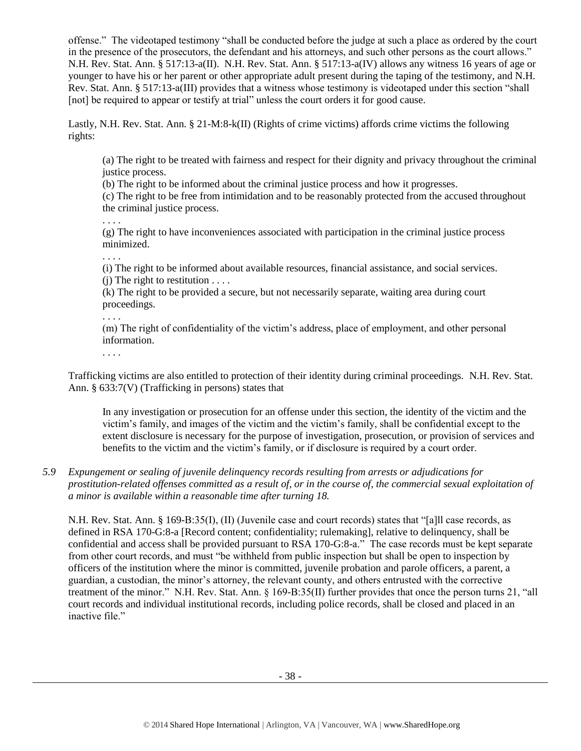offense." The videotaped testimony "shall be conducted before the judge at such a place as ordered by the court in the presence of the prosecutors, the defendant and his attorneys, and such other persons as the court allows." N.H. Rev. Stat. Ann. § 517:13-a(II). N.H. Rev. Stat. Ann. § 517:13-a(IV) allows any witness 16 years of age or younger to have his or her parent or other appropriate adult present during the taping of the testimony, and N.H. Rev. Stat. Ann. § 517:13-a(III) provides that a witness whose testimony is videotaped under this section "shall [not] be required to appear or testify at trial" unless the court orders it for good cause.

Lastly, N.H. Rev. Stat. Ann. § 21-M:8-k(II) (Rights of crime victims) affords crime victims the following rights:

(a) The right to be treated with fairness and respect for their dignity and privacy throughout the criminal justice process.

(b) The right to be informed about the criminal justice process and how it progresses.

(c) The right to be free from intimidation and to be reasonably protected from the accused throughout the criminal justice process.

. . . .

(g) The right to have inconveniences associated with participation in the criminal justice process minimized.

. . . .

(i) The right to be informed about available resources, financial assistance, and social services.  $(i)$  The right to restitution  $\dots$ 

(k) The right to be provided a secure, but not necessarily separate, waiting area during court proceedings.

. . . .

(m) The right of confidentiality of the victim's address, place of employment, and other personal information.

. . . .

Trafficking victims are also entitled to protection of their identity during criminal proceedings. N.H. Rev. Stat. Ann. § 633:7(V) (Trafficking in persons) states that

In any investigation or prosecution for an offense under this section, the identity of the victim and the victim's family, and images of the victim and the victim's family, shall be confidential except to the extent disclosure is necessary for the purpose of investigation, prosecution, or provision of services and benefits to the victim and the victim's family, or if disclosure is required by a court order.

# *5.9 Expungement or sealing of juvenile delinquency records resulting from arrests or adjudications for prostitution-related offenses committed as a result of, or in the course of, the commercial sexual exploitation of a minor is available within a reasonable time after turning 18.*

N.H. Rev. Stat. Ann. § 169-B:35(I), (II) (Juvenile case and court records) states that "[a]ll case records, as defined in RSA 170-G:8-a [Record content; confidentiality; rulemaking], relative to delinquency, shall be confidential and access shall be provided pursuant to RSA 170-G:8-a." The case records must be kept separate from other court records, and must "be withheld from public inspection but shall be open to inspection by officers of the institution where the minor is committed, juvenile probation and parole officers, a parent, a guardian, a custodian, the minor's attorney, the relevant county, and others entrusted with the corrective treatment of the minor." N.H. Rev. Stat. Ann. § 169-B:35(II) further provides that once the person turns 21, "all court records and individual institutional records, including police records, shall be closed and placed in an inactive file."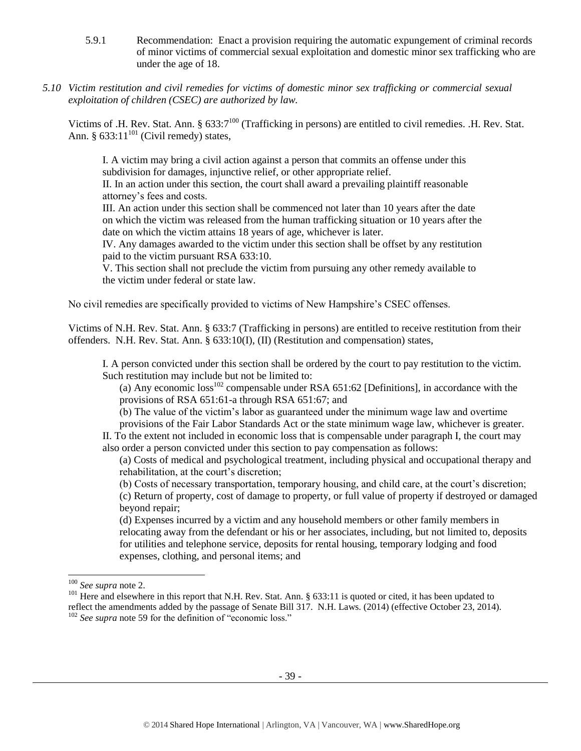- 5.9.1 Recommendation: Enact a provision requiring the automatic expungement of criminal records of minor victims of commercial sexual exploitation and domestic minor sex trafficking who are under the age of 18.
- *5.10 Victim restitution and civil remedies for victims of domestic minor sex trafficking or commercial sexual exploitation of children (CSEC) are authorized by law.*

Victims of .H. Rev. Stat. Ann.  $\S 633:7^{100}$  (Trafficking in persons) are entitled to civil remedies. .H. Rev. Stat. Ann. §  $633:11^{101}$  (Civil remedy) states,

I. A victim may bring a civil action against a person that commits an offense under this subdivision for damages, injunctive relief, or other appropriate relief.

II. In an action under this section, the court shall award a prevailing plaintiff reasonable attorney's fees and costs.

III. An action under this section shall be commenced not later than 10 years after the date on which the victim was released from the human trafficking situation or 10 years after the date on which the victim attains 18 years of age, whichever is later.

IV. Any damages awarded to the victim under this section shall be offset by any restitution paid to the victim pursuant RSA 633:10.

V. This section shall not preclude the victim from pursuing any other remedy available to the victim under federal or state law.

No civil remedies are specifically provided to victims of New Hampshire's CSEC offenses.

Victims of N.H. Rev. Stat. Ann. § 633:7 (Trafficking in persons) are entitled to receive restitution from their offenders. N.H. Rev. Stat. Ann. § 633:10(I), (II) (Restitution and compensation) states,

I. A person convicted under this section shall be ordered by the court to pay restitution to the victim. Such restitution may include but not be limited to:

(a) Any economic  $loss^{102}$  compensable under RSA 651:62 [Definitions], in accordance with the provisions of RSA 651:61-a through RSA 651:67; and

(b) The value of the victim's labor as guaranteed under the minimum wage law and overtime

provisions of the Fair Labor Standards Act or the state minimum wage law, whichever is greater. II. To the extent not included in economic loss that is compensable under paragraph I, the court may also order a person convicted under this section to pay compensation as follows:

(a) Costs of medical and psychological treatment, including physical and occupational therapy and rehabilitation, at the court's discretion;

- (b) Costs of necessary transportation, temporary housing, and child care, at the court's discretion;
- (c) Return of property, cost of damage to property, or full value of property if destroyed or damaged beyond repair;

(d) Expenses incurred by a victim and any household members or other family members in relocating away from the defendant or his or her associates, including, but not limited to, deposits for utilities and telephone service, deposits for rental housing, temporary lodging and food expenses, clothing, and personal items; and

 $\overline{\phantom{a}}$ 

<sup>100</sup> *See supra* not[e 2.](#page-0-0)

<sup>&</sup>lt;sup>101</sup> Here and elsewhere in this report that N.H. Rev. Stat. Ann. § 633:11 is quoted or cited, it has been updated to reflect the amendments added by the passage of Senate Bill 317. N.H. Laws. (2014) (effective October 23, 2014).

<sup>&</sup>lt;sup>102</sup> See supra not[e 59](#page-18-0) for the definition of "economic loss."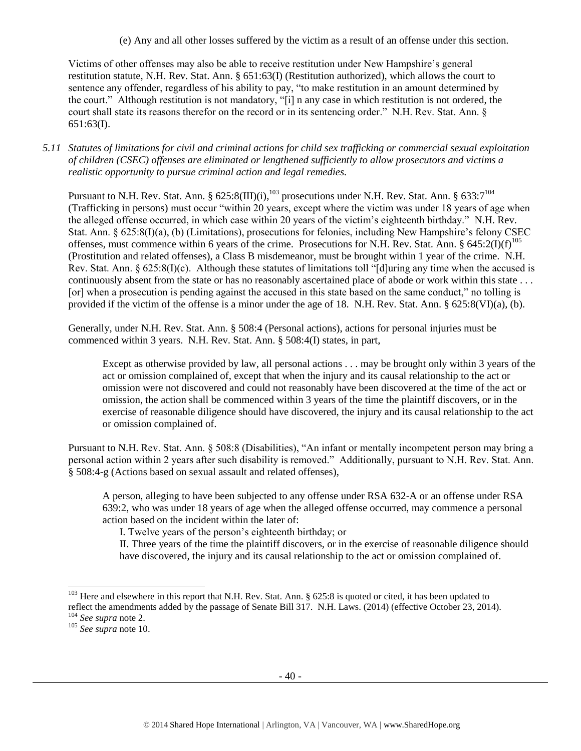(e) Any and all other losses suffered by the victim as a result of an offense under this section.

Victims of other offenses may also be able to receive restitution under New Hampshire's general restitution statute, N.H. Rev. Stat. Ann. § 651:63(I) (Restitution authorized), which allows the court to sentence any offender, regardless of his ability to pay, "to make restitution in an amount determined by the court." Although restitution is not mandatory, "[i] n any case in which restitution is not ordered, the court shall state its reasons therefor on the record or in its sentencing order." N.H. Rev. Stat. Ann. § 651:63(I).

# *5.11 Statutes of limitations for civil and criminal actions for child sex trafficking or commercial sexual exploitation of children (CSEC) offenses are eliminated or lengthened sufficiently to allow prosecutors and victims a realistic opportunity to pursue criminal action and legal remedies.*

Pursuant to N.H. Rev. Stat. Ann. § 625:8(III)(i),<sup>103</sup> prosecutions under N.H. Rev. Stat. Ann. § 633:7<sup>104</sup> (Trafficking in persons) must occur "within 20 years, except where the victim was under 18 years of age when the alleged offense occurred, in which case within 20 years of the victim's eighteenth birthday." N.H. Rev. Stat. Ann. § 625:8(I)(a), (b) (Limitations), prosecutions for felonies, including New Hampshire's felony CSEC offenses, must commence within 6 years of the crime. Prosecutions for N.H. Rev. Stat. Ann. § 645:2(I)(f)<sup>105</sup> (Prostitution and related offenses), a Class B misdemeanor, must be brought within 1 year of the crime. N.H. Rev. Stat. Ann.  $\S 625:8(I)(c)$ . Although these statutes of limitations toll "[d]uring any time when the accused is continuously absent from the state or has no reasonably ascertained place of abode or work within this state . . . [or] when a prosecution is pending against the accused in this state based on the same conduct," no tolling is provided if the victim of the offense is a minor under the age of 18. N.H. Rev. Stat. Ann. § 625:8(VI)(a), (b).

Generally, under N.H. Rev. Stat. Ann. § 508:4 (Personal actions), actions for personal injuries must be commenced within 3 years. N.H. Rev. Stat. Ann. § 508:4(I) states, in part,

Except as otherwise provided by law, all personal actions . . . may be brought only within 3 years of the act or omission complained of, except that when the injury and its causal relationship to the act or omission were not discovered and could not reasonably have been discovered at the time of the act or omission, the action shall be commenced within 3 years of the time the plaintiff discovers, or in the exercise of reasonable diligence should have discovered, the injury and its causal relationship to the act or omission complained of.

Pursuant to N.H. Rev. Stat. Ann. § 508:8 (Disabilities), "An infant or mentally incompetent person may bring a personal action within 2 years after such disability is removed." Additionally, pursuant to N.H. Rev. Stat. Ann. § 508:4-g (Actions based on sexual assault and related offenses),

A person, alleging to have been subjected to any offense under RSA 632-A or an offense under RSA 639:2, who was under 18 years of age when the alleged offense occurred, may commence a personal action based on the incident within the later of:

I. Twelve years of the person's eighteenth birthday; or

II. Three years of the time the plaintiff discovers, or in the exercise of reasonable diligence should have discovered, the injury and its causal relationship to the act or omission complained of.

 $\overline{a}$ 

 $103$  Here and elsewhere in this report that N.H. Rev. Stat. Ann. § 625:8 is quoted or cited, it has been updated to reflect the amendments added by the passage of Senate Bill 317. N.H. Laws. (2014) (effective October 23, 2014). <sup>104</sup> *See supra* not[e 2.](#page-0-0)

<sup>105</sup> *See supra* not[e 10.](#page-4-0)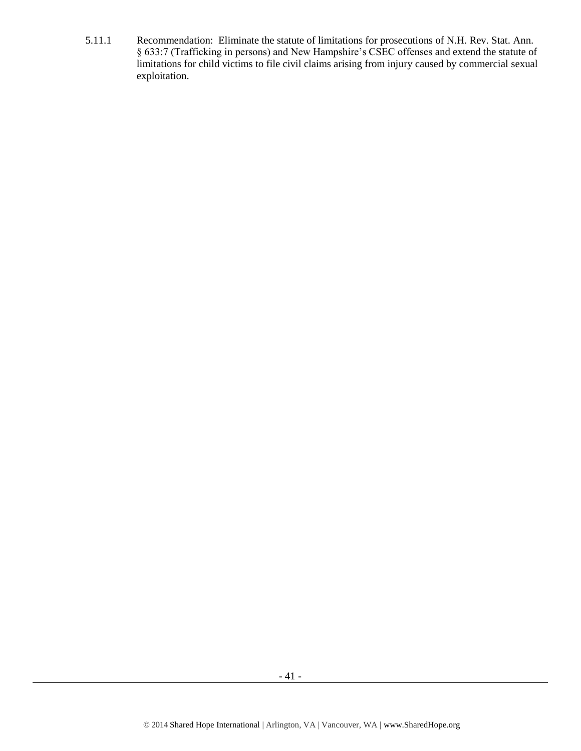5.11.1 Recommendation: Eliminate the statute of limitations for prosecutions of N.H. Rev. Stat. Ann. § 633:7 (Trafficking in persons) and New Hampshire's CSEC offenses and extend the statute of limitations for child victims to file civil claims arising from injury caused by commercial sexual exploitation.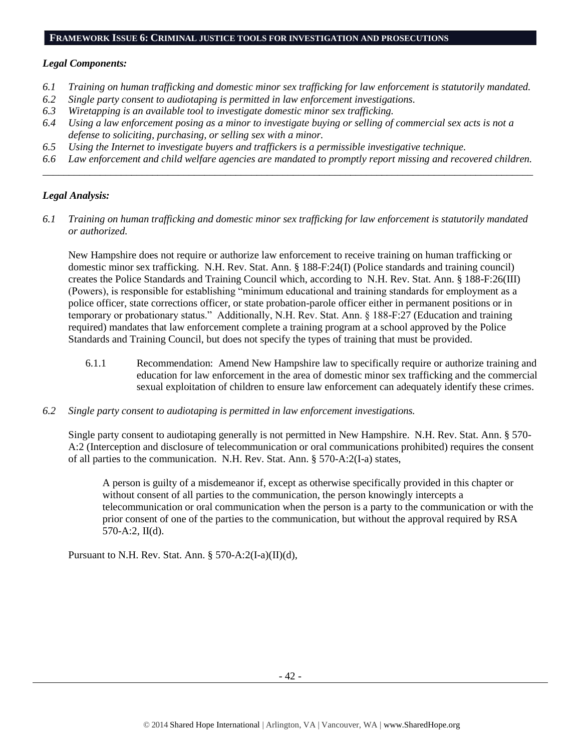#### **FRAMEWORK ISSUE 6: CRIMINAL JUSTICE TOOLS FOR INVESTIGATION AND PROSECUTIONS**

#### *Legal Components:*

- *6.1 Training on human trafficking and domestic minor sex trafficking for law enforcement is statutorily mandated.*
- *6.2 Single party consent to audiotaping is permitted in law enforcement investigations.*
- *6.3 Wiretapping is an available tool to investigate domestic minor sex trafficking.*
- *6.4 Using a law enforcement posing as a minor to investigate buying or selling of commercial sex acts is not a defense to soliciting, purchasing, or selling sex with a minor.*
- *6.5 Using the Internet to investigate buyers and traffickers is a permissible investigative technique.*
- *6.6 Law enforcement and child welfare agencies are mandated to promptly report missing and recovered children. \_\_\_\_\_\_\_\_\_\_\_\_\_\_\_\_\_\_\_\_\_\_\_\_\_\_\_\_\_\_\_\_\_\_\_\_\_\_\_\_\_\_\_\_\_\_\_\_\_\_\_\_\_\_\_\_\_\_\_\_\_\_\_\_\_\_\_\_\_\_\_\_\_\_\_\_\_\_\_\_\_\_\_\_\_\_\_\_\_\_\_\_\_\_*

## *Legal Analysis:*

*6.1 Training on human trafficking and domestic minor sex trafficking for law enforcement is statutorily mandated or authorized.*

New Hampshire does not require or authorize law enforcement to receive training on human trafficking or domestic minor sex trafficking. N.H. Rev. Stat. Ann. § 188-F:24(I) (Police standards and training council) creates the Police Standards and Training Council which, according to N.H. Rev. Stat. Ann. § 188-F:26(III) (Powers), is responsible for establishing "minimum educational and training standards for employment as a police officer, state corrections officer, or state probation-parole officer either in permanent positions or in temporary or probationary status." Additionally, N.H. Rev. Stat. Ann. § 188-F:27 (Education and training required) mandates that law enforcement complete a training program at a school approved by the Police Standards and Training Council, but does not specify the types of training that must be provided.

- 6.1.1 Recommendation: Amend New Hampshire law to specifically require or authorize training and education for law enforcement in the area of domestic minor sex trafficking and the commercial sexual exploitation of children to ensure law enforcement can adequately identify these crimes.
- *6.2 Single party consent to audiotaping is permitted in law enforcement investigations.*

Single party consent to audiotaping generally is not permitted in New Hampshire. N.H. Rev. Stat. Ann. § 570- A:2 (Interception and disclosure of telecommunication or oral communications prohibited) requires the consent of all parties to the communication. N.H. Rev. Stat. Ann. § 570-A:2(I-a) states,

A person is guilty of a misdemeanor if, except as otherwise specifically provided in this chapter or without consent of all parties to the communication, the person knowingly intercepts a telecommunication or oral communication when the person is a party to the communication or with the prior consent of one of the parties to the communication, but without the approval required by RSA 570-A:2, II(d).

Pursuant to N.H. Rev. Stat. Ann. § 570-A:2(I-a)(II)(d),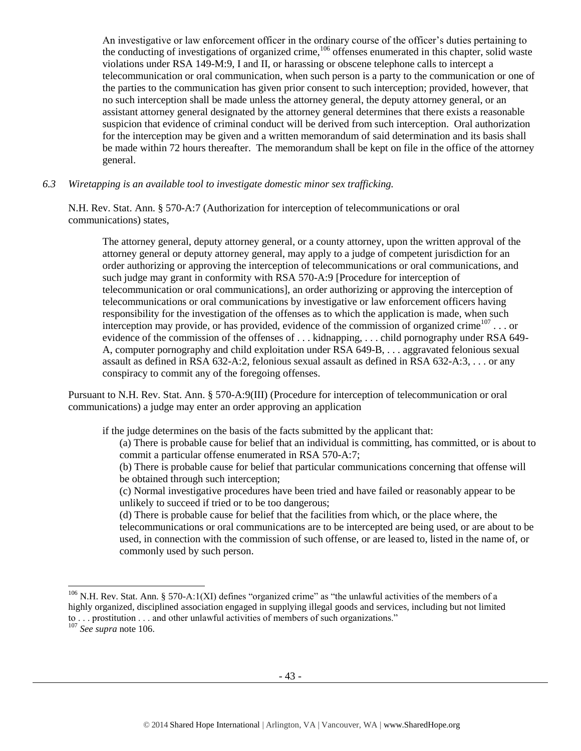<span id="page-42-0"></span>An investigative or law enforcement officer in the ordinary course of the officer's duties pertaining to the conducting of investigations of organized crime,  $106$  offenses enumerated in this chapter, solid waste violations under RSA 149-M:9, I and II, or harassing or obscene telephone calls to intercept a telecommunication or oral communication, when such person is a party to the communication or one of the parties to the communication has given prior consent to such interception; provided, however, that no such interception shall be made unless the attorney general, the deputy attorney general, or an assistant attorney general designated by the attorney general determines that there exists a reasonable suspicion that evidence of criminal conduct will be derived from such interception. Oral authorization for the interception may be given and a written memorandum of said determination and its basis shall be made within 72 hours thereafter. The memorandum shall be kept on file in the office of the attorney general.

*6.3 Wiretapping is an available tool to investigate domestic minor sex trafficking.* 

N.H. Rev. Stat. Ann. § 570-A:7 (Authorization for interception of telecommunications or oral communications) states,

The attorney general, deputy attorney general, or a county attorney, upon the written approval of the attorney general or deputy attorney general, may apply to a judge of competent jurisdiction for an order authorizing or approving the interception of telecommunications or oral communications, and such judge may grant in conformity with RSA 570-A:9 [Procedure for interception of telecommunication or oral communications], an order authorizing or approving the interception of telecommunications or oral communications by investigative or law enforcement officers having responsibility for the investigation of the offenses as to which the application is made, when such interception may provide, or has provided, evidence of the commission of organized crime<sup>107</sup>... or evidence of the commission of the offenses of ... kidnapping, ... child pornography under RSA 649-A, computer pornography and child exploitation under RSA 649-B, . . . aggravated felonious sexual assault as defined in RSA 632-A:2, felonious sexual assault as defined in RSA 632-A:3, . . . or any conspiracy to commit any of the foregoing offenses.

Pursuant to N.H. Rev. Stat. Ann. § 570-A:9(III) (Procedure for interception of telecommunication or oral communications) a judge may enter an order approving an application

if the judge determines on the basis of the facts submitted by the applicant that:

- (a) There is probable cause for belief that an individual is committing, has committed, or is about to commit a particular offense enumerated in RSA 570-A:7;
- (b) There is probable cause for belief that particular communications concerning that offense will be obtained through such interception;
- (c) Normal investigative procedures have been tried and have failed or reasonably appear to be unlikely to succeed if tried or to be too dangerous;

(d) There is probable cause for belief that the facilities from which, or the place where, the telecommunications or oral communications are to be intercepted are being used, or are about to be used, in connection with the commission of such offense, or are leased to, listed in the name of, or commonly used by such person.

 $\overline{a}$ 

 $106$  N.H. Rev. Stat. Ann. § 570-A:1(XI) defines "organized crime" as "the unlawful activities of the members of a highly organized, disciplined association engaged in supplying illegal goods and services, including but not limited to . . . prostitution . . . and other unlawful activities of members of such organizations."

<sup>107</sup> *See supra* not[e 106.](#page-42-0)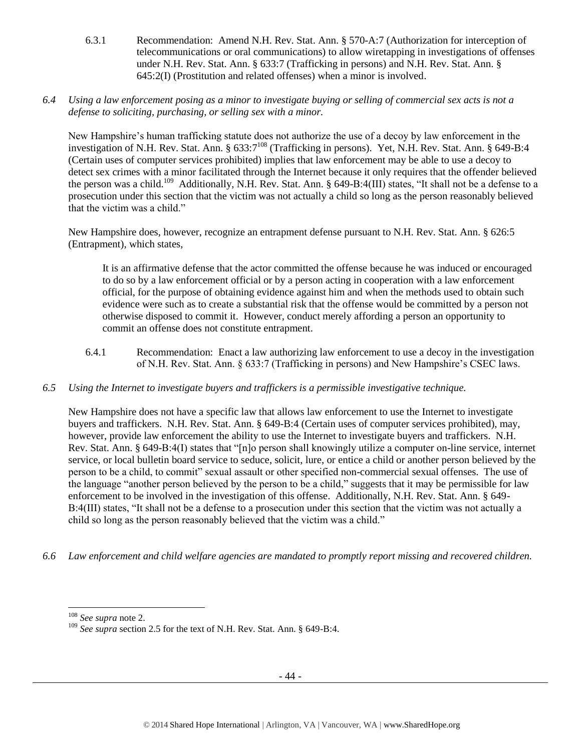- 6.3.1 Recommendation: Amend N.H. Rev. Stat. Ann. § 570-A:7 (Authorization for interception of telecommunications or oral communications) to allow wiretapping in investigations of offenses under N.H. Rev. Stat. Ann. § 633:7 (Trafficking in persons) and N.H. Rev. Stat. Ann. § 645:2(I) (Prostitution and related offenses) when a minor is involved.
- *6.4 Using a law enforcement posing as a minor to investigate buying or selling of commercial sex acts is not a defense to soliciting, purchasing, or selling sex with a minor.*

New Hampshire's human trafficking statute does not authorize the use of a decoy by law enforcement in the investigation of N.H. Rev. Stat. Ann. § 633:7<sup>108</sup> (Trafficking in persons). Yet, N.H. Rev. Stat. Ann. § 649-B:4 (Certain uses of computer services prohibited) implies that law enforcement may be able to use a decoy to detect sex crimes with a minor facilitated through the Internet because it only requires that the offender believed the person was a child.<sup>109</sup> Additionally, N.H. Rev. Stat. Ann. § 649-B:4(III) states, "It shall not be a defense to a prosecution under this section that the victim was not actually a child so long as the person reasonably believed that the victim was a child."

New Hampshire does, however, recognize an entrapment defense pursuant to N.H. Rev. Stat. Ann. § 626:5 (Entrapment), which states,

It is an affirmative defense that the actor committed the offense because he was induced or encouraged to do so by a law enforcement official or by a person acting in cooperation with a law enforcement official, for the purpose of obtaining evidence against him and when the methods used to obtain such evidence were such as to create a substantial risk that the offense would be committed by a person not otherwise disposed to commit it. However, conduct merely affording a person an opportunity to commit an offense does not constitute entrapment.

- 6.4.1 Recommendation: Enact a law authorizing law enforcement to use a decoy in the investigation of N.H. Rev. Stat. Ann. § 633:7 (Trafficking in persons) and New Hampshire's CSEC laws.
- *6.5 Using the Internet to investigate buyers and traffickers is a permissible investigative technique.*

New Hampshire does not have a specific law that allows law enforcement to use the Internet to investigate buyers and traffickers. N.H. Rev. Stat. Ann. § 649-B:4 (Certain uses of computer services prohibited), may, however, provide law enforcement the ability to use the Internet to investigate buyers and traffickers. N.H. Rev. Stat. Ann. § 649-B:4(I) states that "[n]o person shall knowingly utilize a computer on-line service, internet service, or local bulletin board service to seduce, solicit, lure, or entice a child or another person believed by the person to be a child, to commit" sexual assault or other specified non-commercial sexual offenses. The use of the language "another person believed by the person to be a child," suggests that it may be permissible for law enforcement to be involved in the investigation of this offense. Additionally, N.H. Rev. Stat. Ann. § 649- B:4(III) states, "It shall not be a defense to a prosecution under this section that the victim was not actually a child so long as the person reasonably believed that the victim was a child."

*6.6 Law enforcement and child welfare agencies are mandated to promptly report missing and recovered children.*

 $\overline{\phantom{a}}$ 

<sup>108</sup> *See supra* not[e 2.](#page-0-0)

<sup>109</sup> *See supra* section 2.5 for the text of N.H. Rev. Stat. Ann. § 649-B:4.